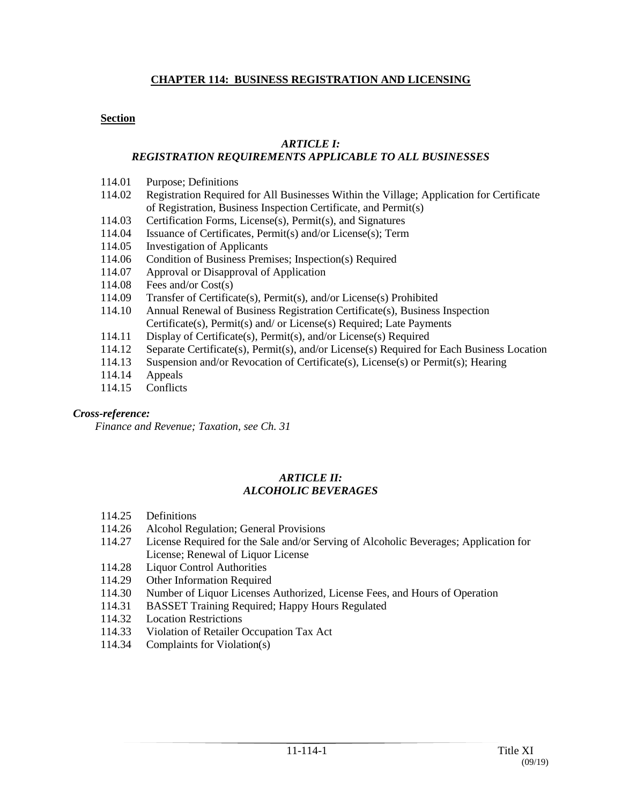### **CHAPTER 114: BUSINESS REGISTRATION AND LICENSING**

### **Section**

### *ARTICLE I:*

# *REGISTRATION REQUIREMENTS APPLICABLE TO ALL BUSINESSES*

- 114.01 Purpose; Definitions
- 114.02 Registration Required for All Businesses Within the Village; Application for Certificate of Registration, Business Inspection Certificate, and Permit(s)
- 114.03 Certification Forms, License(s), Permit(s), and Signatures
- 114.04 Issuance of Certificates, Permit(s) and/or License(s); Term
- 114.05 Investigation of Applicants
- 114.06 Condition of Business Premises; Inspection(s) Required<br>114.07 Approval or Disapproval of Application
- Approval or Disapproval of Application
- 114.08 Fees and/or Cost(s)
- 114.09 Transfer of Certificate(s), Permit(s), and/or License(s) Prohibited
- 114.10 Annual Renewal of Business Registration Certificate(s), Business Inspection Certificate(s), Permit(s) and/ or License(s) Required; Late Payments
- 114.11 Display of Certificate(s), Permit(s), and/or License(s) Required
- 114.12 Separate Certificate(s), Permit(s), and/or License(s) Required for Each Business Location
- 114.13 Suspension and/or Revocation of Certificate(s), License(s) or Permit(s); Hearing
- 114.14 Appeals
- 114.15 Conflicts

### *Cross-reference:*

*Finance and Revenue; Taxation, see Ch. 31*

#### *ARTICLE II: ALCOHOLIC BEVERAGES*

- 114.25 Definitions
- 114.26 Alcohol Regulation; General Provisions
- 114.27 License Required for the Sale and/or Serving of Alcoholic Beverages; Application for License; Renewal of Liquor License
- 114.28 Liquor Control Authorities
- 114.29 Other Information Required
- 114.30 Number of Liquor Licenses Authorized, License Fees, and Hours of Operation
- 114.31 BASSET Training Required; Happy Hours Regulated
- 114.32 Location Restrictions
- 114.33 Violation of Retailer Occupation Tax Act
- 114.34 Complaints for Violation(s)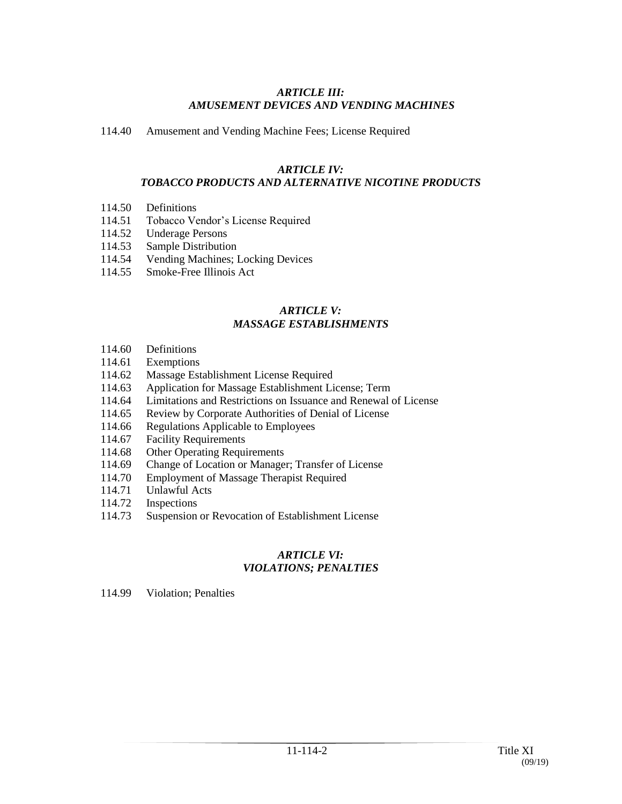### *ARTICLE III: AMUSEMENT DEVICES AND VENDING MACHINES*

114.40 Amusement and Vending Machine Fees; License Required

#### *ARTICLE IV: TOBACCO PRODUCTS AND ALTERNATIVE NICOTINE PRODUCTS*

- 114.50 Definitions
- 114.51 Tobacco Vendor's License Required
- 114.52 Underage Persons
- 114.53 Sample Distribution
- 114.54 Vending Machines; Locking Devices
- 114.55 Smoke-Free Illinois Act

#### *ARTICLE V: MASSAGE ESTABLISHMENTS*

- 114.60 Definitions
- 114.61 Exemptions
- 114.62 Massage Establishment License Required
- 114.63 Application for Massage Establishment License; Term
- 114.64 Limitations and Restrictions on Issuance and Renewal of License
- 114.65 Review by Corporate Authorities of Denial of License
- 114.66 Regulations Applicable to Employees
- 114.67 Facility Requirements<br>114.68 Other Operating Requi
- **Other Operating Requirements**
- 114.69 Change of Location or Manager; Transfer of License<br>114.70 Employment of Massage Therapist Required
- Employment of Massage Therapist Required
- 114.71 Unlawful Acts
- 114.72 Inspections
- 114.73 Suspension or Revocation of Establishment License

#### *ARTICLE VI: VIOLATIONS; PENALTIES*

114.99 Violation; Penalties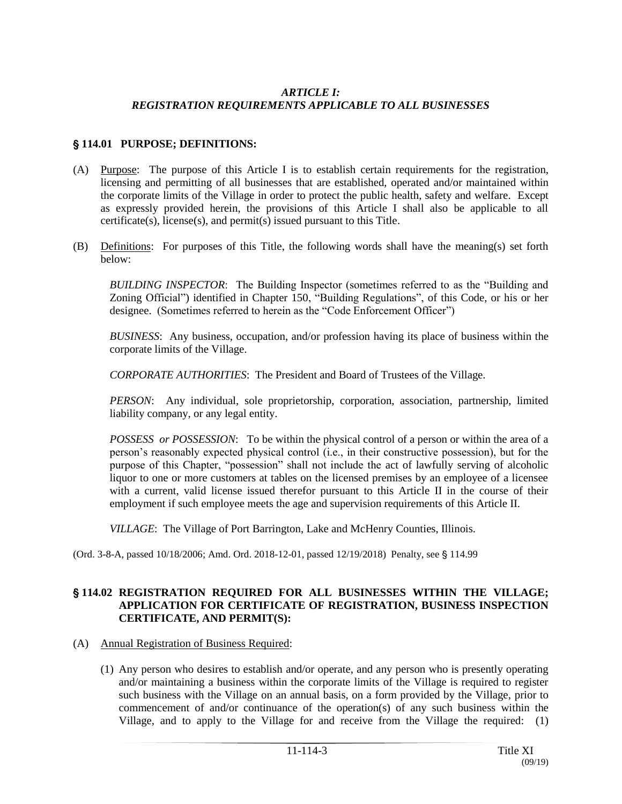### *ARTICLE I: REGISTRATION REQUIREMENTS APPLICABLE TO ALL BUSINESSES*

### ' **114.01 PURPOSE; DEFINITIONS:**

- (A) Purpose: The purpose of this Article I is to establish certain requirements for the registration, licensing and permitting of all businesses that are established, operated and/or maintained within the corporate limits of the Village in order to protect the public health, safety and welfare. Except as expressly provided herein, the provisions of this Article I shall also be applicable to all certificate(s), license(s), and permit(s) issued pursuant to this Title.
- (B) Definitions: For purposes of this Title, the following words shall have the meaning(s) set forth below:

*BUILDING INSPECTOR*: The Building Inspector (sometimes referred to as the "Building and Zoning Official") identified in Chapter 150, "Building Regulations", of this Code, or his or her designee. (Sometimes referred to herein as the "Code Enforcement Officer")

*BUSINESS*: Any business, occupation, and/or profession having its place of business within the corporate limits of the Village.

*CORPORATE AUTHORITIES*: The President and Board of Trustees of the Village.

*PERSON*: Any individual, sole proprietorship, corporation, association, partnership, limited liability company, or any legal entity.

*POSSESS or POSSESSION*: To be within the physical control of a person or within the area of a person's reasonably expected physical control (i.e., in their constructive possession), but for the purpose of this Chapter, "possession" shall not include the act of lawfully serving of alcoholic liquor to one or more customers at tables on the licensed premises by an employee of a licensee with a current, valid license issued therefor pursuant to this Article II in the course of their employment if such employee meets the age and supervision requirements of this Article II.

*VILLAGE*: The Village of Port Barrington, Lake and McHenry Counties, Illinois.

(Ord. 3-8-A, passed 10/18/2006; Amd. Ord. 2018-12-01, passed 12/19/2018) Penalty, see § 114.99

### ' **114.02 REGISTRATION REQUIRED FOR ALL BUSINESSES WITHIN THE VILLAGE; APPLICATION FOR CERTIFICATE OF REGISTRATION, BUSINESS INSPECTION CERTIFICATE, AND PERMIT(S):**

- (A) Annual Registration of Business Required:
	- (1) Any person who desires to establish and/or operate, and any person who is presently operating and/or maintaining a business within the corporate limits of the Village is required to register such business with the Village on an annual basis, on a form provided by the Village, prior to commencement of and/or continuance of the operation(s) of any such business within the Village, and to apply to the Village for and receive from the Village the required: (1)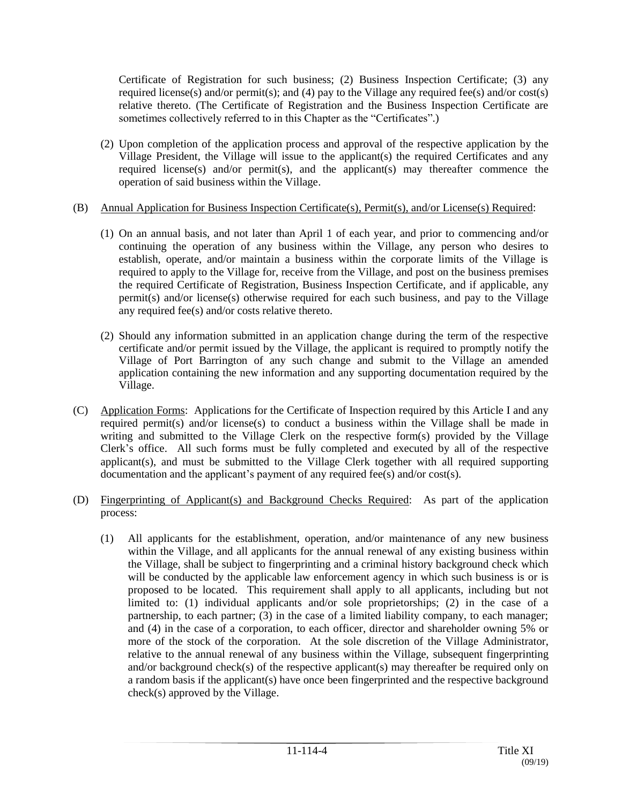Certificate of Registration for such business; (2) Business Inspection Certificate; (3) any required license(s) and/or permit(s); and (4) pay to the Village any required fee(s) and/or cost(s) relative thereto. (The Certificate of Registration and the Business Inspection Certificate are sometimes collectively referred to in this Chapter as the "Certificates".)

(2) Upon completion of the application process and approval of the respective application by the Village President, the Village will issue to the applicant(s) the required Certificates and any required license(s) and/or permit(s), and the applicant(s) may thereafter commence the operation of said business within the Village.

## (B) Annual Application for Business Inspection Certificate(s), Permit(s), and/or License(s) Required:

- (1) On an annual basis, and not later than April 1 of each year, and prior to commencing and/or continuing the operation of any business within the Village, any person who desires to establish, operate, and/or maintain a business within the corporate limits of the Village is required to apply to the Village for, receive from the Village, and post on the business premises the required Certificate of Registration, Business Inspection Certificate, and if applicable, any permit(s) and/or license(s) otherwise required for each such business, and pay to the Village any required fee(s) and/or costs relative thereto.
- (2) Should any information submitted in an application change during the term of the respective certificate and/or permit issued by the Village, the applicant is required to promptly notify the Village of Port Barrington of any such change and submit to the Village an amended application containing the new information and any supporting documentation required by the Village.
- (C) Application Forms: Applications for the Certificate of Inspection required by this Article I and any required permit(s) and/or license(s) to conduct a business within the Village shall be made in writing and submitted to the Village Clerk on the respective form(s) provided by the Village Clerk's office. All such forms must be fully completed and executed by all of the respective applicant(s), and must be submitted to the Village Clerk together with all required supporting documentation and the applicant's payment of any required fee(s) and/or cost(s).
- (D) Fingerprinting of Applicant(s) and Background Checks Required: As part of the application process:
	- (1) All applicants for the establishment, operation, and/or maintenance of any new business within the Village, and all applicants for the annual renewal of any existing business within the Village, shall be subject to fingerprinting and a criminal history background check which will be conducted by the applicable law enforcement agency in which such business is or is proposed to be located. This requirement shall apply to all applicants, including but not limited to: (1) individual applicants and/or sole proprietorships; (2) in the case of a partnership, to each partner; (3) in the case of a limited liability company, to each manager; and (4) in the case of a corporation, to each officer, director and shareholder owning 5% or more of the stock of the corporation. At the sole discretion of the Village Administrator, relative to the annual renewal of any business within the Village, subsequent fingerprinting and/or background check(s) of the respective applicant(s) may thereafter be required only on a random basis if the applicant(s) have once been fingerprinted and the respective background check(s) approved by the Village.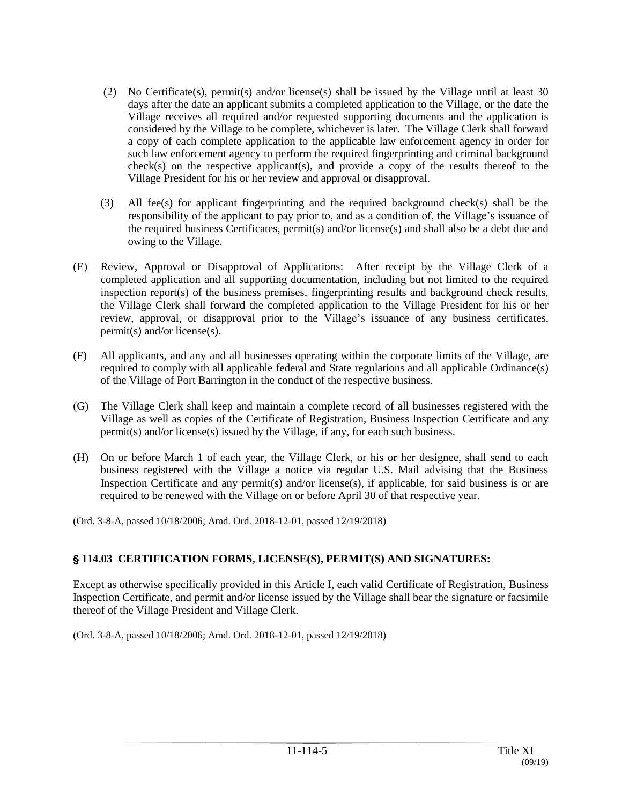- (2) No Certificate(s), permit(s) and/or license(s) shall be issued by the Village until at least 30 days after the date an applicant submits a completed application to the Village, or the date the Village receives all required and/or requested supporting documents and the application is considered by the Village to be complete, whichever is later. The Village Clerk shall forward a copy of each complete application to the applicable law enforcement agency in order for such law enforcement agency to perform the required fingerprinting and criminal background  $check(s)$  on the respective applicant $(s)$ , and provide a copy of the results thereof to the Village President for his or her review and approval or disapproval.
- (3) All fee(s) for applicant fingerprinting and the required background check(s) shall be the responsibility of the applicant to pay prior to, and as a condition of, the Village's issuance of the required business Certificates, permit(s) and/or license(s) and shall also be a debt due and owing to the Village.
- (E) Review, Approval or Disapproval of Applications: After receipt by the Village Clerk of a completed application and all supporting documentation, including but not limited to the required inspection report(s) of the business premises, fingerprinting results and background check results, the Village Clerk shall forward the completed application to the Village President for his or her review, approval, or disapproval prior to the Village's issuance of any business certificates, permit(s) and/or license(s).
- (F) All applicants, and any and all businesses operating within the corporate limits of the Village, are required to comply with all applicable federal and State regulations and all applicable Ordinance(s) of the Village of Port Barrington in the conduct of the respective business.
- (G) The Village Clerk shall keep and maintain a complete record of all businesses registered with the Village as well as copies of the Certificate of Registration, Business Inspection Certificate and any permit(s) and/or license(s) issued by the Village, if any, for each such business.
- (H) On or before March 1 of each year, the Village Clerk, or his or her designee, shall send to each business registered with the Village a notice via regular U.S. Mail advising that the Business Inspection Certificate and any permit(s) and/or license(s), if applicable, for said business is or are required to be renewed with the Village on or before April 30 of that respective year.

(Ord. 3-8-A, passed 10/18/2006; Amd. Ord. 2018-12-01, passed 12/19/2018)

## ' **114.03 CERTIFICATION FORMS, LICENSE(S), PERMIT(S) AND SIGNATURES:**

Except as otherwise specifically provided in this Article I, each valid Certificate of Registration, Business Inspection Certificate, and permit and/or license issued by the Village shall bear the signature or facsimile thereof of the Village President and Village Clerk.

(Ord. 3-8-A, passed 10/18/2006; Amd. Ord. 2018-12-01, passed 12/19/2018)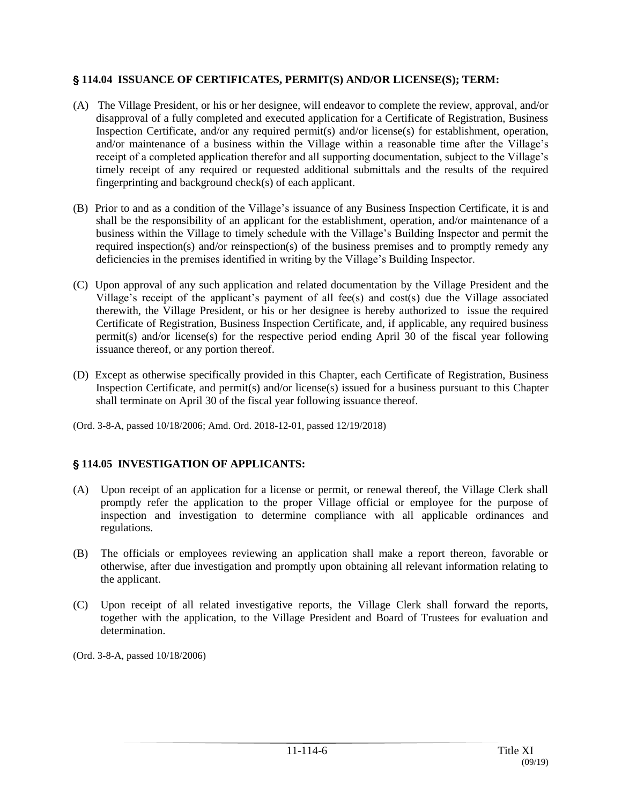### ' **114.04 ISSUANCE OF CERTIFICATES, PERMIT(S) AND/OR LICENSE(S); TERM:**

- (A) The Village President, or his or her designee, will endeavor to complete the review, approval, and/or disapproval of a fully completed and executed application for a Certificate of Registration, Business Inspection Certificate, and/or any required permit(s) and/or license(s) for establishment, operation, and/or maintenance of a business within the Village within a reasonable time after the Village's receipt of a completed application therefor and all supporting documentation, subject to the Village's timely receipt of any required or requested additional submittals and the results of the required fingerprinting and background check(s) of each applicant.
- (B) Prior to and as a condition of the Village's issuance of any Business Inspection Certificate, it is and shall be the responsibility of an applicant for the establishment, operation, and/or maintenance of a business within the Village to timely schedule with the Village's Building Inspector and permit the required inspection(s) and/or reinspection(s) of the business premises and to promptly remedy any deficiencies in the premises identified in writing by the Village's Building Inspector.
- (C) Upon approval of any such application and related documentation by the Village President and the Village's receipt of the applicant's payment of all fee(s) and cost(s) due the Village associated therewith, the Village President, or his or her designee is hereby authorized to issue the required Certificate of Registration, Business Inspection Certificate, and, if applicable, any required business permit(s) and/or license(s) for the respective period ending April 30 of the fiscal year following issuance thereof, or any portion thereof.
- (D) Except as otherwise specifically provided in this Chapter, each Certificate of Registration, Business Inspection Certificate, and permit(s) and/or license(s) issued for a business pursuant to this Chapter shall terminate on April 30 of the fiscal year following issuance thereof.
- (Ord. 3-8-A, passed 10/18/2006; Amd. Ord. 2018-12-01, passed 12/19/2018)

## ' **114.05 INVESTIGATION OF APPLICANTS:**

- (A) Upon receipt of an application for a license or permit, or renewal thereof, the Village Clerk shall promptly refer the application to the proper Village official or employee for the purpose of inspection and investigation to determine compliance with all applicable ordinances and regulations.
- (B) The officials or employees reviewing an application shall make a report thereon, favorable or otherwise, after due investigation and promptly upon obtaining all relevant information relating to the applicant.
- (C) Upon receipt of all related investigative reports, the Village Clerk shall forward the reports, together with the application, to the Village President and Board of Trustees for evaluation and determination.

(Ord. 3-8-A, passed 10/18/2006)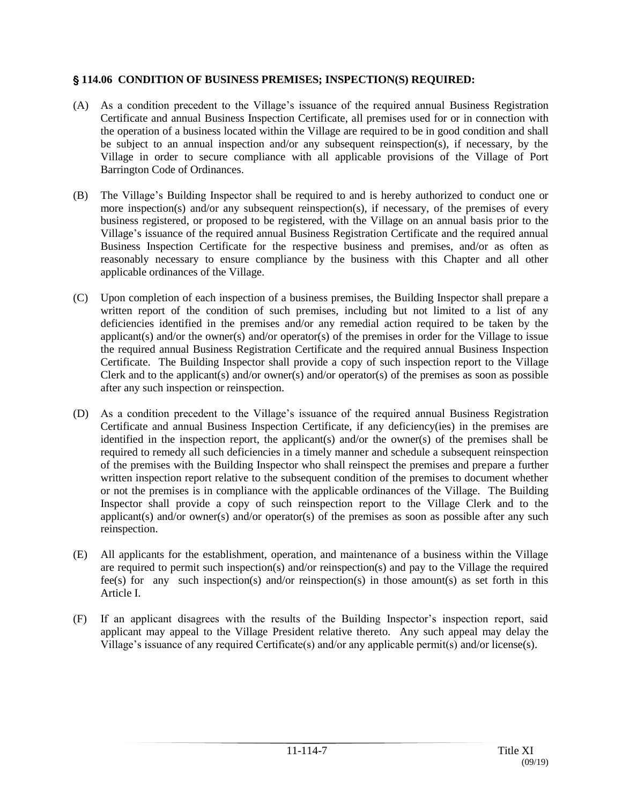### ' **114.06 CONDITION OF BUSINESS PREMISES; INSPECTION(S) REQUIRED:**

- (A) As a condition precedent to the Village's issuance of the required annual Business Registration Certificate and annual Business Inspection Certificate, all premises used for or in connection with the operation of a business located within the Village are required to be in good condition and shall be subject to an annual inspection and/or any subsequent reinspection(s), if necessary, by the Village in order to secure compliance with all applicable provisions of the Village of Port Barrington Code of Ordinances.
- (B) The Village's Building Inspector shall be required to and is hereby authorized to conduct one or more inspection(s) and/or any subsequent reinspection(s), if necessary, of the premises of every business registered, or proposed to be registered, with the Village on an annual basis prior to the Village's issuance of the required annual Business Registration Certificate and the required annual Business Inspection Certificate for the respective business and premises, and/or as often as reasonably necessary to ensure compliance by the business with this Chapter and all other applicable ordinances of the Village.
- (C) Upon completion of each inspection of a business premises, the Building Inspector shall prepare a written report of the condition of such premises, including but not limited to a list of any deficiencies identified in the premises and/or any remedial action required to be taken by the applicant(s) and/or the owner(s) and/or operator(s) of the premises in order for the Village to issue the required annual Business Registration Certificate and the required annual Business Inspection Certificate. The Building Inspector shall provide a copy of such inspection report to the Village Clerk and to the applicant(s) and/or owner(s) and/or operator(s) of the premises as soon as possible after any such inspection or reinspection.
- (D) As a condition precedent to the Village's issuance of the required annual Business Registration Certificate and annual Business Inspection Certificate, if any deficiency(ies) in the premises are identified in the inspection report, the applicant(s) and/or the owner(s) of the premises shall be required to remedy all such deficiencies in a timely manner and schedule a subsequent reinspection of the premises with the Building Inspector who shall reinspect the premises and prepare a further written inspection report relative to the subsequent condition of the premises to document whether or not the premises is in compliance with the applicable ordinances of the Village. The Building Inspector shall provide a copy of such reinspection report to the Village Clerk and to the applicant(s) and/or owner(s) and/or operator(s) of the premises as soon as possible after any such reinspection.
- (E) All applicants for the establishment, operation, and maintenance of a business within the Village are required to permit such inspection(s) and/or reinspection(s) and pay to the Village the required fee(s) for any such inspection(s) and/or reinspection(s) in those amount(s) as set forth in this Article I.
- (F) If an applicant disagrees with the results of the Building Inspector's inspection report, said applicant may appeal to the Village President relative thereto. Any such appeal may delay the Village's issuance of any required Certificate(s) and/or any applicable permit(s) and/or license(s).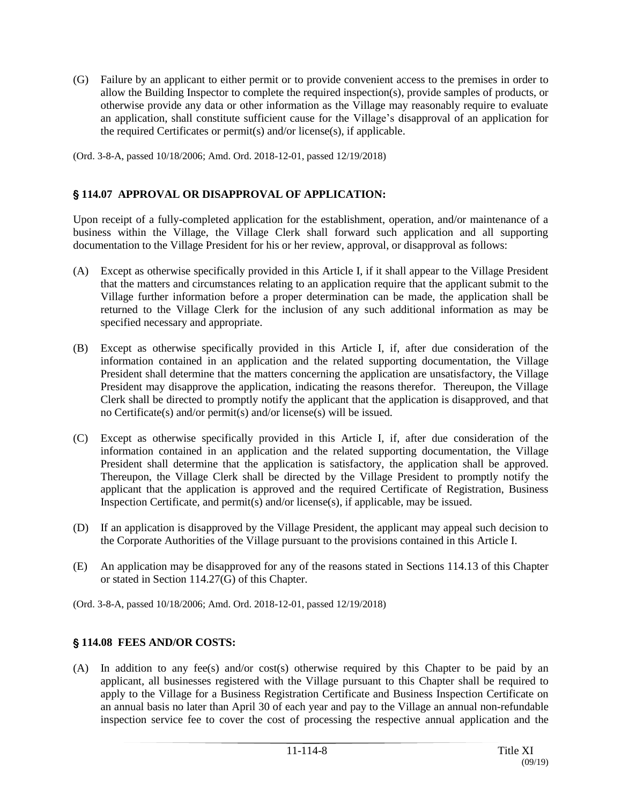(G) Failure by an applicant to either permit or to provide convenient access to the premises in order to allow the Building Inspector to complete the required inspection(s), provide samples of products, or otherwise provide any data or other information as the Village may reasonably require to evaluate an application, shall constitute sufficient cause for the Village's disapproval of an application for the required Certificates or permit(s) and/or license(s), if applicable.

(Ord. 3-8-A, passed 10/18/2006; Amd. Ord. 2018-12-01, passed 12/19/2018)

## ' **114.07 APPROVAL OR DISAPPROVAL OF APPLICATION:**

Upon receipt of a fully-completed application for the establishment, operation, and/or maintenance of a business within the Village, the Village Clerk shall forward such application and all supporting documentation to the Village President for his or her review, approval, or disapproval as follows:

- (A) Except as otherwise specifically provided in this Article I, if it shall appear to the Village President that the matters and circumstances relating to an application require that the applicant submit to the Village further information before a proper determination can be made, the application shall be returned to the Village Clerk for the inclusion of any such additional information as may be specified necessary and appropriate.
- (B) Except as otherwise specifically provided in this Article I, if, after due consideration of the information contained in an application and the related supporting documentation, the Village President shall determine that the matters concerning the application are unsatisfactory, the Village President may disapprove the application, indicating the reasons therefor. Thereupon, the Village Clerk shall be directed to promptly notify the applicant that the application is disapproved, and that no Certificate(s) and/or permit(s) and/or license(s) will be issued.
- (C) Except as otherwise specifically provided in this Article I, if, after due consideration of the information contained in an application and the related supporting documentation, the Village President shall determine that the application is satisfactory, the application shall be approved. Thereupon, the Village Clerk shall be directed by the Village President to promptly notify the applicant that the application is approved and the required Certificate of Registration, Business Inspection Certificate, and permit(s) and/or license(s), if applicable, may be issued.
- (D) If an application is disapproved by the Village President, the applicant may appeal such decision to the Corporate Authorities of the Village pursuant to the provisions contained in this Article I.
- (E) An application may be disapproved for any of the reasons stated in Sections 114.13 of this Chapter or stated in Section 114.27(G) of this Chapter.
- (Ord. 3-8-A, passed 10/18/2006; Amd. Ord. 2018-12-01, passed 12/19/2018)

### ' **114.08 FEES AND/OR COSTS:**

(A) In addition to any fee(s) and/or cost(s) otherwise required by this Chapter to be paid by an applicant, all businesses registered with the Village pursuant to this Chapter shall be required to apply to the Village for a Business Registration Certificate and Business Inspection Certificate on an annual basis no later than April 30 of each year and pay to the Village an annual non-refundable inspection service fee to cover the cost of processing the respective annual application and the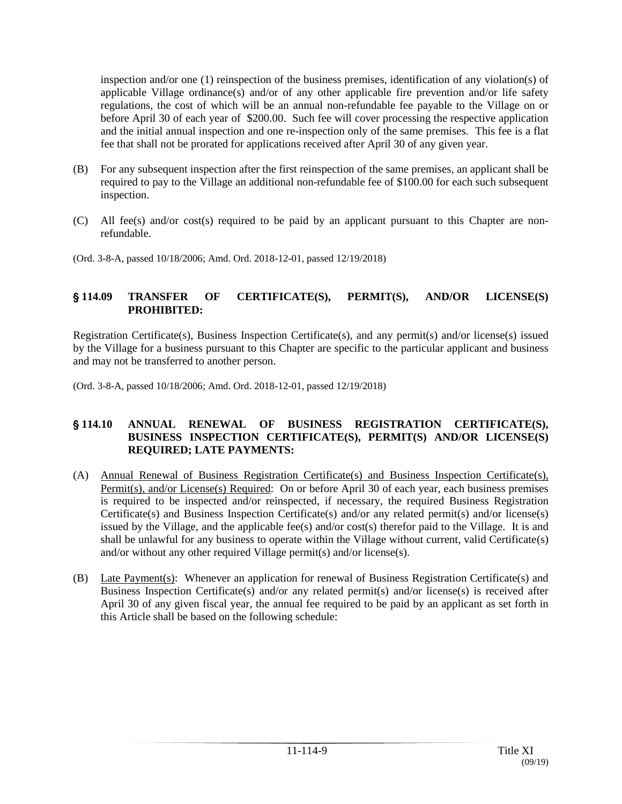inspection and/or one (1) reinspection of the business premises, identification of any violation(s) of applicable Village ordinance(s) and/or of any other applicable fire prevention and/or life safety regulations, the cost of which will be an annual non-refundable fee payable to the Village on or before April 30 of each year of \$200.00. Such fee will cover processing the respective application and the initial annual inspection and one re-inspection only of the same premises. This fee is a flat fee that shall not be prorated for applications received after April 30 of any given year.

- (B) For any subsequent inspection after the first reinspection of the same premises, an applicant shall be required to pay to the Village an additional non-refundable fee of \$100.00 for each such subsequent inspection.
- (C) All fee(s) and/or cost(s) required to be paid by an applicant pursuant to this Chapter are nonrefundable.

(Ord. 3-8-A, passed 10/18/2006; Amd. Ord. 2018-12-01, passed 12/19/2018)

## ' **114.09 TRANSFER OF CERTIFICATE(S), PERMIT(S), AND/OR LICENSE(S) PROHIBITED:**

Registration Certificate(s), Business Inspection Certificate(s), and any permit(s) and/or license(s) issued by the Village for a business pursuant to this Chapter are specific to the particular applicant and business and may not be transferred to another person.

(Ord. 3-8-A, passed 10/18/2006; Amd. Ord. 2018-12-01, passed 12/19/2018)

### ' **114.10 ANNUAL RENEWAL OF BUSINESS REGISTRATION CERTIFICATE(S), BUSINESS INSPECTION CERTIFICATE(S), PERMIT(S) AND/OR LICENSE(S) REQUIRED; LATE PAYMENTS:**

- (A) Annual Renewal of Business Registration Certificate(s) and Business Inspection Certificate(s), Permit(s), and/or License(s) Required: On or before April 30 of each year, each business premises is required to be inspected and/or reinspected, if necessary, the required Business Registration Certificate(s) and Business Inspection Certificate(s) and/or any related permit(s) and/or license(s) issued by the Village, and the applicable fee(s) and/or cost(s) therefor paid to the Village. It is and shall be unlawful for any business to operate within the Village without current, valid Certificate(s) and/or without any other required Village permit(s) and/or license(s).
- (B) Late Payment(s): Whenever an application for renewal of Business Registration Certificate(s) and Business Inspection Certificate(s) and/or any related permit(s) and/or license(s) is received after April 30 of any given fiscal year, the annual fee required to be paid by an applicant as set forth in this Article shall be based on the following schedule: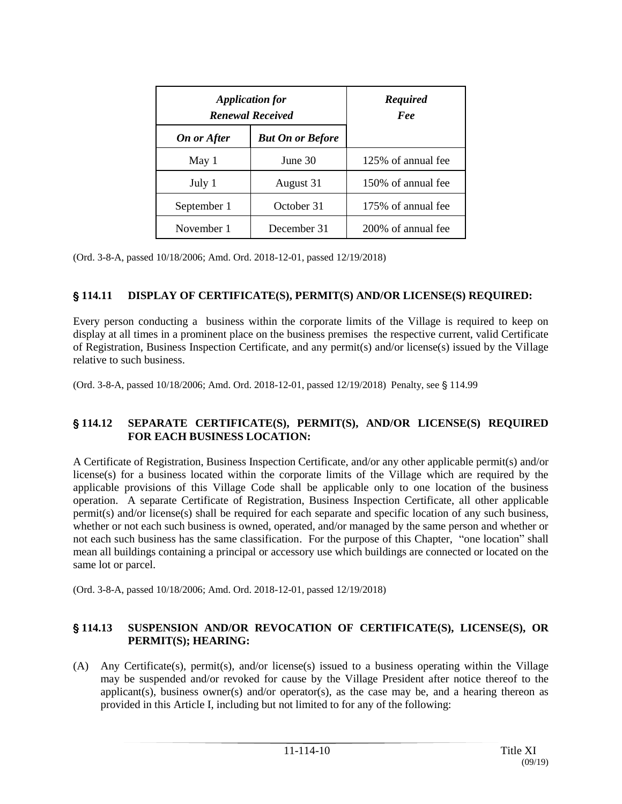| <b>Application for</b><br><b>Renewal Received</b> |                         | <b>Required</b><br>Fee |
|---------------------------------------------------|-------------------------|------------------------|
| On or After                                       | <b>But On or Before</b> |                        |
| May 1                                             | June $30$               | 125% of annual fee     |
| July 1                                            | August 31               | 150% of annual fee     |
| September 1                                       | October 31              | 175% of annual fee     |
| November 1                                        | December 31             | 200% of annual fee     |

(Ord. 3-8-A, passed 10/18/2006; Amd. Ord. 2018-12-01, passed 12/19/2018)

## ' **114.11 DISPLAY OF CERTIFICATE(S), PERMIT(S) AND/OR LICENSE(S) REQUIRED:**

Every person conducting a business within the corporate limits of the Village is required to keep on display at all times in a prominent place on the business premises the respective current, valid Certificate of Registration, Business Inspection Certificate, and any permit(s) and/or license(s) issued by the Village relative to such business.

(Ord. 3-8-A, passed 10/18/2006; Amd. Ord. 2018-12-01, passed 12/19/2018) Penalty, see § 114.99

### ' **114.12 SEPARATE CERTIFICATE(S), PERMIT(S), AND/OR LICENSE(S) REQUIRED FOR EACH BUSINESS LOCATION:**

A Certificate of Registration, Business Inspection Certificate, and/or any other applicable permit(s) and/or license(s) for a business located within the corporate limits of the Village which are required by the applicable provisions of this Village Code shall be applicable only to one location of the business operation. A separate Certificate of Registration, Business Inspection Certificate, all other applicable permit(s) and/or license(s) shall be required for each separate and specific location of any such business, whether or not each such business is owned, operated, and/or managed by the same person and whether or not each such business has the same classification. For the purpose of this Chapter, "one location" shall mean all buildings containing a principal or accessory use which buildings are connected or located on the same lot or parcel.

(Ord. 3-8-A, passed 10/18/2006; Amd. Ord. 2018-12-01, passed 12/19/2018)

### ' **114.13 SUSPENSION AND/OR REVOCATION OF CERTIFICATE(S), LICENSE(S), OR PERMIT(S); HEARING:**

(A) Any Certificate(s), permit(s), and/or license(s) issued to a business operating within the Village may be suspended and/or revoked for cause by the Village President after notice thereof to the applicant(s), business owner(s) and/or operator(s), as the case may be, and a hearing thereon as provided in this Article I, including but not limited to for any of the following: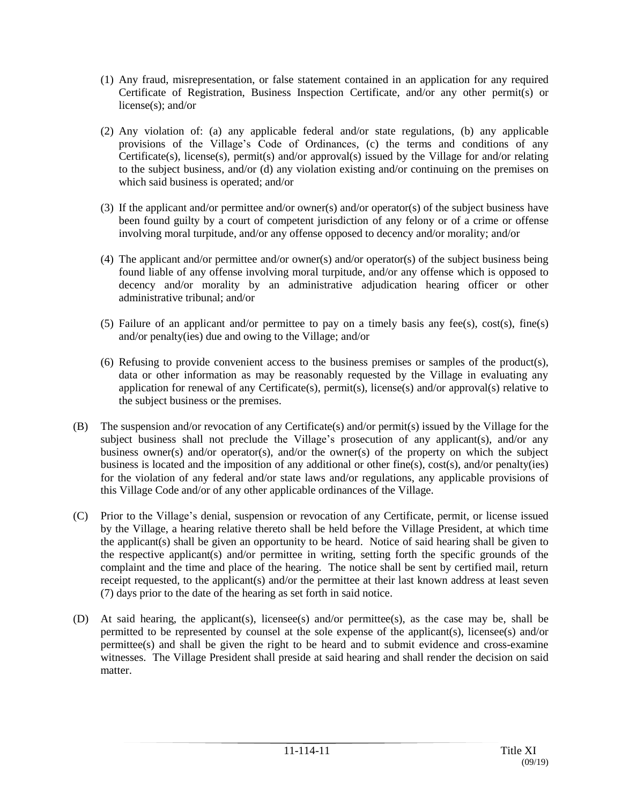- (1) Any fraud, misrepresentation, or false statement contained in an application for any required Certificate of Registration, Business Inspection Certificate, and/or any other permit(s) or license(s); and/or
- (2) Any violation of: (a) any applicable federal and/or state regulations, (b) any applicable provisions of the Village's Code of Ordinances, (c) the terms and conditions of any Certificate(s), license(s), permit(s) and/or approval(s) issued by the Village for and/or relating to the subject business, and/or (d) any violation existing and/or continuing on the premises on which said business is operated; and/or
- (3) If the applicant and/or permittee and/or owner(s) and/or operator(s) of the subject business have been found guilty by a court of competent jurisdiction of any felony or of a crime or offense involving moral turpitude, and/or any offense opposed to decency and/or morality; and/or
- (4) The applicant and/or permittee and/or owner(s) and/or operator(s) of the subject business being found liable of any offense involving moral turpitude, and/or any offense which is opposed to decency and/or morality by an administrative adjudication hearing officer or other administrative tribunal; and/or
- (5) Failure of an applicant and/or permittee to pay on a timely basis any fee(s), cost(s), fine(s) and/or penalty(ies) due and owing to the Village; and/or
- (6) Refusing to provide convenient access to the business premises or samples of the product(s), data or other information as may be reasonably requested by the Village in evaluating any application for renewal of any Certificate(s), permit(s), license(s) and/or approval(s) relative to the subject business or the premises.
- (B) The suspension and/or revocation of any Certificate(s) and/or permit(s) issued by the Village for the subject business shall not preclude the Village's prosecution of any applicant(s), and/or any business owner(s) and/or operator(s), and/or the owner(s) of the property on which the subject business is located and the imposition of any additional or other fine(s), cost(s), and/or penalty(ies) for the violation of any federal and/or state laws and/or regulations, any applicable provisions of this Village Code and/or of any other applicable ordinances of the Village.
- (C) Prior to the Village's denial, suspension or revocation of any Certificate, permit, or license issued by the Village, a hearing relative thereto shall be held before the Village President, at which time the applicant(s) shall be given an opportunity to be heard. Notice of said hearing shall be given to the respective applicant(s) and/or permittee in writing, setting forth the specific grounds of the complaint and the time and place of the hearing. The notice shall be sent by certified mail, return receipt requested, to the applicant(s) and/or the permittee at their last known address at least seven (7) days prior to the date of the hearing as set forth in said notice.
- (D) At said hearing, the applicant(s), licensee(s) and/or permittee(s), as the case may be, shall be permitted to be represented by counsel at the sole expense of the applicant(s), licensee(s) and/or permittee(s) and shall be given the right to be heard and to submit evidence and cross-examine witnesses. The Village President shall preside at said hearing and shall render the decision on said matter.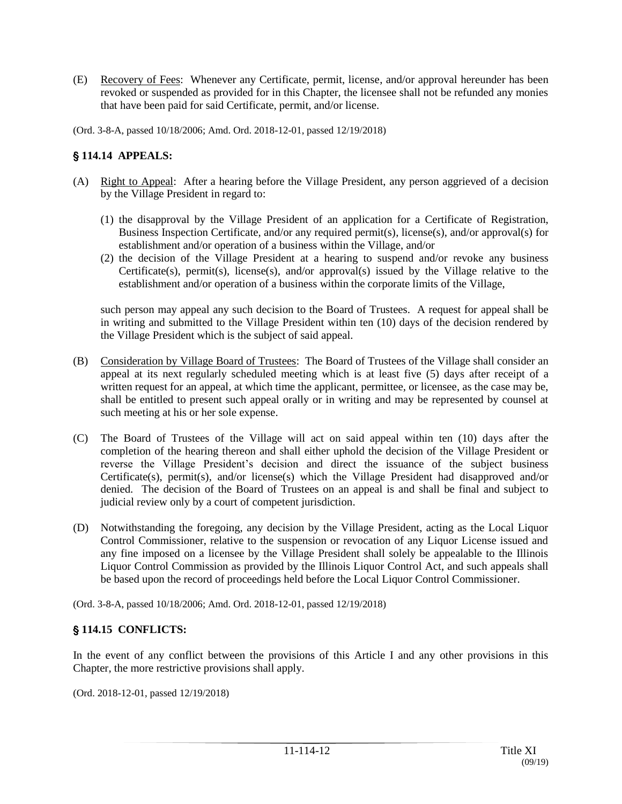- (E) Recovery of Fees: Whenever any Certificate, permit, license, and/or approval hereunder has been revoked or suspended as provided for in this Chapter, the licensee shall not be refunded any monies that have been paid for said Certificate, permit, and/or license.
- (Ord. 3-8-A, passed 10/18/2006; Amd. Ord. 2018-12-01, passed 12/19/2018)

# ' **114.14 APPEALS:**

- (A) Right to Appeal: After a hearing before the Village President, any person aggrieved of a decision by the Village President in regard to:
	- (1) the disapproval by the Village President of an application for a Certificate of Registration, Business Inspection Certificate, and/or any required permit(s), license(s), and/or approval(s) for establishment and/or operation of a business within the Village, and/or
	- (2) the decision of the Village President at a hearing to suspend and/or revoke any business Certificate(s), permit(s), license(s), and/or approval(s) issued by the Village relative to the establishment and/or operation of a business within the corporate limits of the Village,

such person may appeal any such decision to the Board of Trustees. A request for appeal shall be in writing and submitted to the Village President within ten (10) days of the decision rendered by the Village President which is the subject of said appeal.

- (B) Consideration by Village Board of Trustees: The Board of Trustees of the Village shall consider an appeal at its next regularly scheduled meeting which is at least five (5) days after receipt of a written request for an appeal, at which time the applicant, permittee, or licensee, as the case may be, shall be entitled to present such appeal orally or in writing and may be represented by counsel at such meeting at his or her sole expense.
- (C) The Board of Trustees of the Village will act on said appeal within ten (10) days after the completion of the hearing thereon and shall either uphold the decision of the Village President or reverse the Village President's decision and direct the issuance of the subject business Certificate(s), permit(s), and/or license(s) which the Village President had disapproved and/or denied. The decision of the Board of Trustees on an appeal is and shall be final and subject to judicial review only by a court of competent jurisdiction.
- (D) Notwithstanding the foregoing, any decision by the Village President, acting as the Local Liquor Control Commissioner, relative to the suspension or revocation of any Liquor License issued and any fine imposed on a licensee by the Village President shall solely be appealable to the Illinois Liquor Control Commission as provided by the Illinois Liquor Control Act, and such appeals shall be based upon the record of proceedings held before the Local Liquor Control Commissioner.
- (Ord. 3-8-A, passed 10/18/2006; Amd. Ord. 2018-12-01, passed 12/19/2018)

## ' **114.15 CONFLICTS:**

In the event of any conflict between the provisions of this Article I and any other provisions in this Chapter, the more restrictive provisions shall apply.

(Ord. 2018-12-01, passed 12/19/2018)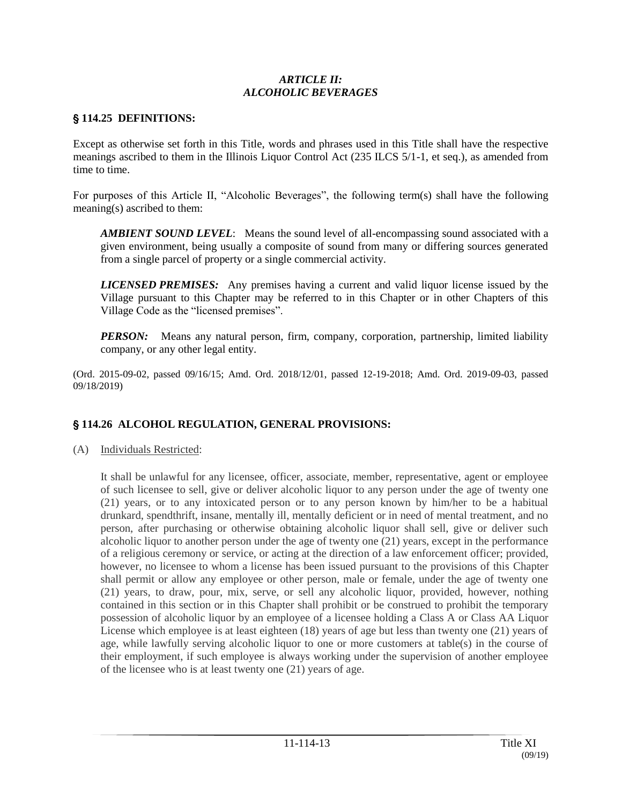### *ARTICLE II: ALCOHOLIC BEVERAGES*

## ' **114.25 DEFINITIONS:**

Except as otherwise set forth in this Title, words and phrases used in this Title shall have the respective meanings ascribed to them in the Illinois Liquor Control Act (235 ILCS 5/1-1, et seq.), as amended from time to time.

For purposes of this Article II, "Alcoholic Beverages", the following term(s) shall have the following meaning(s) ascribed to them:

*AMBIENT SOUND LEVEL*: Means the sound level of all-encompassing sound associated with a given environment, being usually a composite of sound from many or differing sources generated from a single parcel of property or a single commercial activity.

*LICENSED PREMISES:* Any premises having a current and valid liquor license issued by the Village pursuant to this Chapter may be referred to in this Chapter or in other Chapters of this Village Code as the "licensed premises".

*PERSON:* Means any natural person, firm, company, corporation, partnership, limited liability company, or any other legal entity.

(Ord. 2015-09-02, passed 09/16/15; Amd. Ord. 2018/12/01, passed 12-19-2018; Amd. Ord. 2019-09-03, passed 09/18/2019)

## ' **114.26 ALCOHOL REGULATION, GENERAL PROVISIONS:**

(A) Individuals Restricted:

It shall be unlawful for any licensee, officer, associate, member, representative, agent or employee of such licensee to sell, give or deliver alcoholic liquor to any person under the age of twenty one (21) years, or to any intoxicated person or to any person known by him/her to be a habitual drunkard, spendthrift, insane, mentally ill, mentally deficient or in need of mental treatment, and no person, after purchasing or otherwise obtaining alcoholic liquor shall sell, give or deliver such alcoholic liquor to another person under the age of twenty one (21) years, except in the performance of a religious ceremony or service, or acting at the direction of a law enforcement officer; provided, however, no licensee to whom a license has been issued pursuant to the provisions of this Chapter shall permit or allow any employee or other person, male or female, under the age of twenty one (21) years, to draw, pour, mix, serve, or sell any alcoholic liquor, provided, however, nothing contained in this section or in this Chapter shall prohibit or be construed to prohibit the temporary possession of alcoholic liquor by an employee of a licensee holding a Class A or Class AA Liquor License which employee is at least eighteen (18) years of age but less than twenty one (21) years of age, while lawfully serving alcoholic liquor to one or more customers at table(s) in the course of their employment, if such employee is always working under the supervision of another employee of the licensee who is at least twenty one (21) years of age.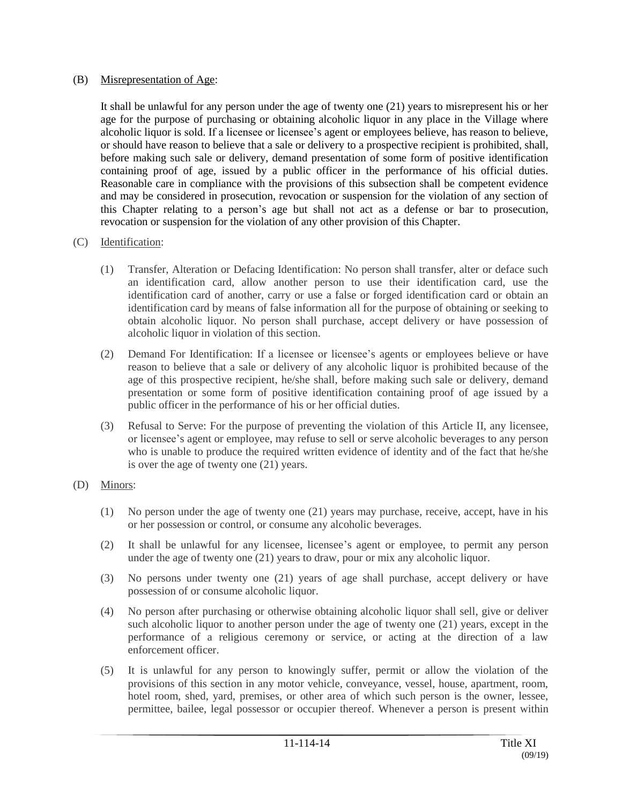### (B) Misrepresentation of Age:

It shall be unlawful for any person under the age of twenty one (21) years to misrepresent his or her age for the purpose of purchasing or obtaining alcoholic liquor in any place in the Village where alcoholic liquor is sold. If a licensee or licensee's agent or employees believe, has reason to believe, or should have reason to believe that a sale or delivery to a prospective recipient is prohibited, shall, before making such sale or delivery, demand presentation of some form of positive identification containing proof of age, issued by a public officer in the performance of his official duties. Reasonable care in compliance with the provisions of this subsection shall be competent evidence and may be considered in prosecution, revocation or suspension for the violation of any section of this Chapter relating to a person's age but shall not act as a defense or bar to prosecution, revocation or suspension for the violation of any other provision of this Chapter.

### (C) Identification:

- (1) Transfer, Alteration or Defacing Identification: No person shall transfer, alter or deface such an identification card, allow another person to use their identification card, use the identification card of another, carry or use a false or forged identification card or obtain an identification card by means of false information all for the purpose of obtaining or seeking to obtain alcoholic liquor. No person shall purchase, accept delivery or have possession of alcoholic liquor in violation of this section.
- (2) Demand For Identification: If a licensee or licensee's agents or employees believe or have reason to believe that a sale or delivery of any alcoholic liquor is prohibited because of the age of this prospective recipient, he/she shall, before making such sale or delivery, demand presentation or some form of positive identification containing proof of age issued by a public officer in the performance of his or her official duties.
- (3) Refusal to Serve: For the purpose of preventing the violation of this Article II, any licensee, or licensee's agent or employee, may refuse to sell or serve alcoholic beverages to any person who is unable to produce the required written evidence of identity and of the fact that he/she is over the age of twenty one (21) years.

### (D) Minors:

- (1) No person under the age of twenty one (21) years may purchase, receive, accept, have in his or her possession or control, or consume any alcoholic beverages.
- (2) It shall be unlawful for any licensee, licensee's agent or employee, to permit any person under the age of twenty one (21) years to draw, pour or mix any alcoholic liquor.
- (3) No persons under twenty one (21) years of age shall purchase, accept delivery or have possession of or consume alcoholic liquor.
- (4) No person after purchasing or otherwise obtaining alcoholic liquor shall sell, give or deliver such alcoholic liquor to another person under the age of twenty one (21) years, except in the performance of a religious ceremony or service, or acting at the direction of a law enforcement officer.
- (5) It is unlawful for any person to knowingly suffer, permit or allow the violation of the provisions of this section in any motor vehicle, conveyance, vessel, house, apartment, room, hotel room, shed, yard, premises, or other area of which such person is the owner, lessee, permittee, bailee, legal possessor or occupier thereof. Whenever a person is present within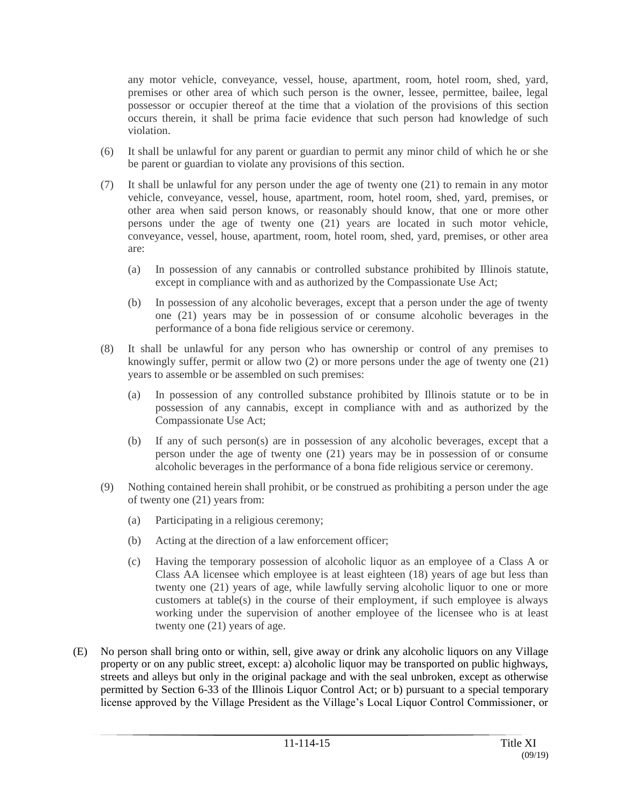any motor vehicle, conveyance, vessel, house, apartment, room, hotel room, shed, yard, premises or other area of which such person is the owner, lessee, permittee, bailee, legal possessor or occupier thereof at the time that a violation of the provisions of this section occurs therein, it shall be prima facie evidence that such person had knowledge of such violation.

- (6) It shall be unlawful for any parent or guardian to permit any minor child of which he or she be parent or guardian to violate any provisions of this section.
- (7) It shall be unlawful for any person under the age of twenty one (21) to remain in any motor vehicle, conveyance, vessel, house, apartment, room, hotel room, shed, yard, premises, or other area when said person knows, or reasonably should know, that one or more other persons under the age of twenty one (21) years are located in such motor vehicle, conveyance, vessel, house, apartment, room, hotel room, shed, yard, premises, or other area are:
	- (a) In possession of any cannabis or controlled substance prohibited by Illinois statute, except in compliance with and as authorized by the Compassionate Use Act;
	- (b) In possession of any alcoholic beverages, except that a person under the age of twenty one (21) years may be in possession of or consume alcoholic beverages in the performance of a bona fide religious service or ceremony.
- (8) It shall be unlawful for any person who has ownership or control of any premises to knowingly suffer, permit or allow two (2) or more persons under the age of twenty one (21) years to assemble or be assembled on such premises:
	- (a) In possession of any controlled substance prohibited by Illinois statute or to be in possession of any cannabis, except in compliance with and as authorized by the Compassionate Use Act;
	- (b) If any of such person(s) are in possession of any alcoholic beverages, except that a person under the age of twenty one (21) years may be in possession of or consume alcoholic beverages in the performance of a bona fide religious service or ceremony.
- (9) Nothing contained herein shall prohibit, or be construed as prohibiting a person under the age of twenty one (21) years from:
	- (a) Participating in a religious ceremony;
	- (b) Acting at the direction of a law enforcement officer;
	- (c) Having the temporary possession of alcoholic liquor as an employee of a Class A or Class AA licensee which employee is at least eighteen (18) years of age but less than twenty one (21) years of age, while lawfully serving alcoholic liquor to one or more customers at table(s) in the course of their employment, if such employee is always working under the supervision of another employee of the licensee who is at least twenty one (21) years of age.
- (E) No person shall bring onto or within, sell, give away or drink any alcoholic liquors on any Village property or on any public street, except: a) alcoholic liquor may be transported on public highways, streets and alleys but only in the original package and with the seal unbroken, except as otherwise permitted by Section 6-33 of the Illinois Liquor Control Act; or b) pursuant to a special temporary license approved by the Village President as the Village's Local Liquor Control Commissioner, or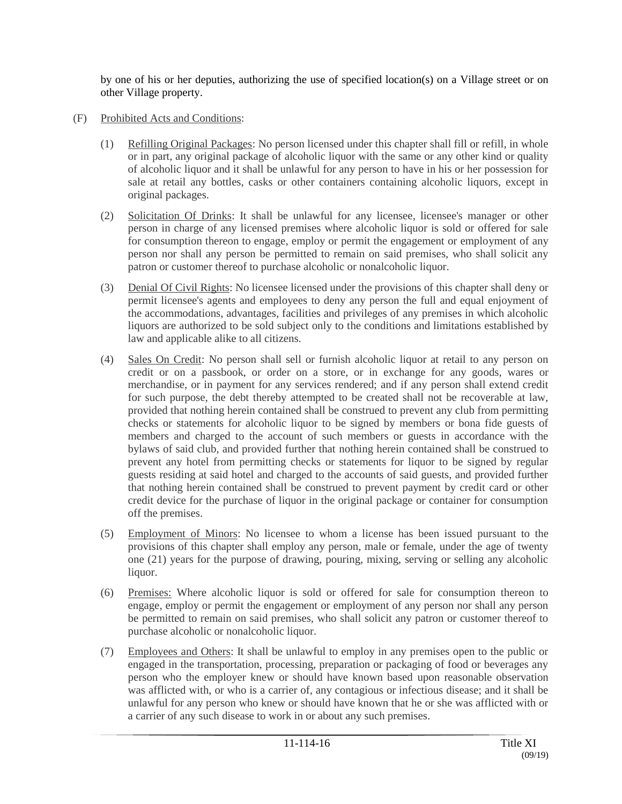by one of his or her deputies, authorizing the use of specified location(s) on a Village street or on other Village property.

- (F) Prohibited Acts and Conditions:
	- (1) Refilling Original Packages: No person licensed under this chapter shall fill or refill, in whole or in part, any original package of alcoholic liquor with the same or any other kind or quality of alcoholic liquor and it shall be unlawful for any person to have in his or her possession for sale at retail any bottles, casks or other containers containing alcoholic liquors, except in original packages.
	- (2) Solicitation Of Drinks: It shall be unlawful for any licensee, licensee's manager or other person in charge of any licensed premises where alcoholic liquor is sold or offered for sale for consumption thereon to engage, employ or permit the engagement or employment of any person nor shall any person be permitted to remain on said premises, who shall solicit any patron or customer thereof to purchase alcoholic or nonalcoholic liquor.
	- (3) Denial Of Civil Rights: No licensee licensed under the provisions of this chapter shall deny or permit licensee's agents and employees to deny any person the full and equal enjoyment of the accommodations, advantages, facilities and privileges of any premises in which alcoholic liquors are authorized to be sold subject only to the conditions and limitations established by law and applicable alike to all citizens.
	- (4) Sales On Credit: No person shall sell or furnish alcoholic liquor at retail to any person on credit or on a passbook, or order on a store, or in exchange for any goods, wares or merchandise, or in payment for any services rendered; and if any person shall extend credit for such purpose, the debt thereby attempted to be created shall not be recoverable at law, provided that nothing herein contained shall be construed to prevent any club from permitting checks or statements for alcoholic liquor to be signed by members or bona fide guests of members and charged to the account of such members or guests in accordance with the bylaws of said club, and provided further that nothing herein contained shall be construed to prevent any hotel from permitting checks or statements for liquor to be signed by regular guests residing at said hotel and charged to the accounts of said guests, and provided further that nothing herein contained shall be construed to prevent payment by credit card or other credit device for the purchase of liquor in the original package or container for consumption off the premises.
	- (5) Employment of Minors: No licensee to whom a license has been issued pursuant to the provisions of this chapter shall employ any person, male or female, under the age of twenty one (21) years for the purpose of drawing, pouring, mixing, serving or selling any alcoholic liquor.
	- (6) Premises: Where alcoholic liquor is sold or offered for sale for consumption thereon to engage, employ or permit the engagement or employment of any person nor shall any person be permitted to remain on said premises, who shall solicit any patron or customer thereof to purchase alcoholic or nonalcoholic liquor.
	- (7) Employees and Others: It shall be unlawful to employ in any premises open to the public or engaged in the transportation, processing, preparation or packaging of food or beverages any person who the employer knew or should have known based upon reasonable observation was afflicted with, or who is a carrier of, any contagious or infectious disease; and it shall be unlawful for any person who knew or should have known that he or she was afflicted with or a carrier of any such disease to work in or about any such premises.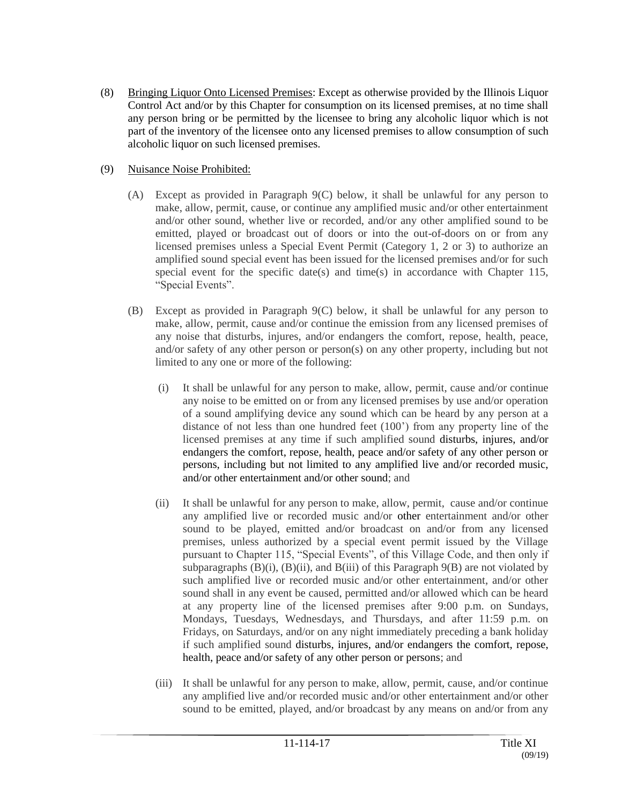- (8) Bringing Liquor Onto Licensed Premises: Except as otherwise provided by the Illinois Liquor Control Act and/or by this Chapter for consumption on its licensed premises, at no time shall any person bring or be permitted by the licensee to bring any alcoholic liquor which is not part of the inventory of the licensee onto any licensed premises to allow consumption of such alcoholic liquor on such licensed premises.
- (9) Nuisance Noise Prohibited:
	- (A) Except as provided in Paragraph 9(C) below, it shall be unlawful for any person to make, allow, permit, cause, or continue any amplified music and/or other entertainment and/or other sound, whether live or recorded, and/or any other amplified sound to be emitted, played or broadcast out of doors or into the out-of-doors on or from any licensed premises unless a Special Event Permit (Category 1, 2 or 3) to authorize an amplified sound special event has been issued for the licensed premises and/or for such special event for the specific date(s) and time(s) in accordance with Chapter 115, "Special Events".
	- (B) Except as provided in Paragraph 9(C) below, it shall be unlawful for any person to make, allow, permit, cause and/or continue the emission from any licensed premises of any noise that disturbs, injures, and/or endangers the comfort, repose, health, peace, and/or safety of any other person or person(s) on any other property, including but not limited to any one or more of the following:
		- (i) It shall be unlawful for any person to make, allow, permit, cause and/or continue any noise to be emitted on or from any licensed premises by use and/or operation of a sound amplifying device any sound which can be heard by any person at a distance of not less than one hundred feet (100') from any property line of the licensed premises at any time if such amplified sound disturbs, injures, and/or endangers the comfort, repose, health, peace and/or safety of any other person or persons, including but not limited to any amplified live and/or recorded music, and/or other entertainment and/or other sound; and
		- (ii) It shall be unlawful for any person to make, allow, permit, cause and/or continue any amplified live or recorded music and/or other entertainment and/or other sound to be played, emitted and/or broadcast on and/or from any licensed premises, unless authorized by a special event permit issued by the Village pursuant to Chapter 115, "Special Events", of this Village Code, and then only if subparagraphs  $(B)(i)$ ,  $(B)(ii)$ , and  $B(iii)$  of this Paragraph  $9(B)$  are not violated by such amplified live or recorded music and/or other entertainment, and/or other sound shall in any event be caused, permitted and/or allowed which can be heard at any property line of the licensed premises after 9:00 p.m. on Sundays, Mondays, Tuesdays, Wednesdays, and Thursdays, and after 11:59 p.m. on Fridays, on Saturdays, and/or on any night immediately preceding a bank holiday if such amplified sound disturbs, injures, and/or endangers the comfort, repose, health, peace and/or safety of any other person or persons; and
		- (iii) It shall be unlawful for any person to make, allow, permit, cause, and/or continue any amplified live and/or recorded music and/or other entertainment and/or other sound to be emitted, played, and/or broadcast by any means on and/or from any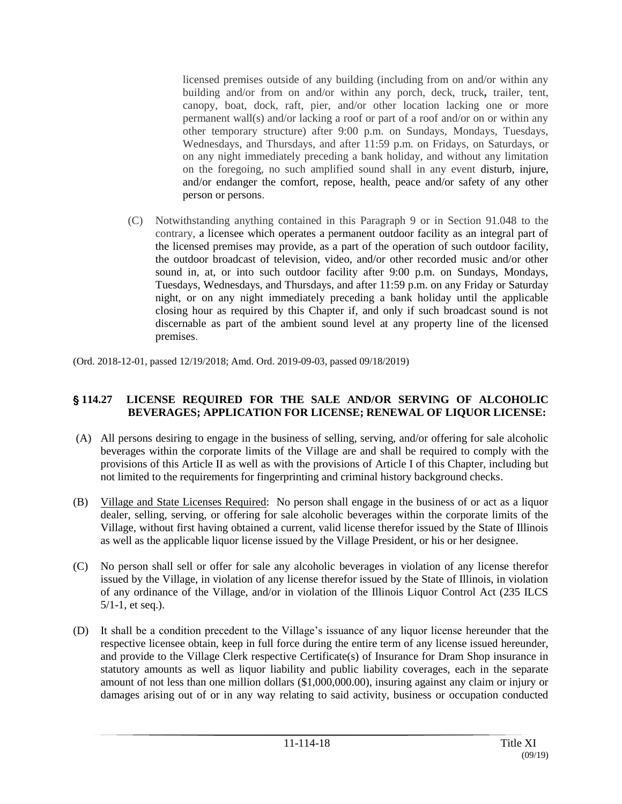licensed premises outside of any building (including from on and/or within any building and/or from on and/or within any porch, deck, truck*,* trailer, tent, canopy, boat, dock, raft, pier, and/or other location lacking one or more permanent wall(s) and/or lacking a roof or part of a roof and/or on or within any other temporary structure) after 9:00 p.m. on Sundays, Mondays, Tuesdays, Wednesdays, and Thursdays, and after 11:59 p.m. on Fridays, on Saturdays, or on any night immediately preceding a bank holiday, and without any limitation on the foregoing, no such amplified sound shall in any event disturb, injure, and/or endanger the comfort, repose, health, peace and/or safety of any other person or persons.

(C) Notwithstanding anything contained in this Paragraph 9 or in Section 91.048 to the contrary, a licensee which operates a permanent outdoor facility as an integral part of the licensed premises may provide, as a part of the operation of such outdoor facility, the outdoor broadcast of television, video, and/or other recorded music and/or other sound in, at, or into such outdoor facility after 9:00 p.m. on Sundays, Mondays, Tuesdays, Wednesdays, and Thursdays, and after 11:59 p.m. on any Friday or Saturday night, or on any night immediately preceding a bank holiday until the applicable closing hour as required by this Chapter if, and only if such broadcast sound is not discernable as part of the ambient sound level at any property line of the licensed premises.

(Ord. 2018-12-01, passed 12/19/2018; Amd. Ord. 2019-09-03, passed 09/18/2019)

## ' **114.27 LICENSE REQUIRED FOR THE SALE AND/OR SERVING OF ALCOHOLIC BEVERAGES; APPLICATION FOR LICENSE; RENEWAL OF LIQUOR LICENSE:**

- (A) All persons desiring to engage in the business of selling, serving, and/or offering for sale alcoholic beverages within the corporate limits of the Village are and shall be required to comply with the provisions of this Article II as well as with the provisions of Article I of this Chapter, including but not limited to the requirements for fingerprinting and criminal history background checks.
- (B) Village and State Licenses Required: No person shall engage in the business of or act as a liquor dealer, selling, serving, or offering for sale alcoholic beverages within the corporate limits of the Village, without first having obtained a current, valid license therefor issued by the State of Illinois as well as the applicable liquor license issued by the Village President, or his or her designee.
- (C) No person shall sell or offer for sale any alcoholic beverages in violation of any license therefor issued by the Village, in violation of any license therefor issued by the State of Illinois, in violation of any ordinance of the Village, and/or in violation of the Illinois Liquor Control Act (235 ILCS 5/1-1, et seq.).
- (D) It shall be a condition precedent to the Village's issuance of any liquor license hereunder that the respective licensee obtain, keep in full force during the entire term of any license issued hereunder, and provide to the Village Clerk respective Certificate(s) of Insurance for Dram Shop insurance in statutory amounts as well as liquor liability and public liability coverages, each in the separate amount of not less than one million dollars (\$1,000,000.00), insuring against any claim or injury or damages arising out of or in any way relating to said activity, business or occupation conducted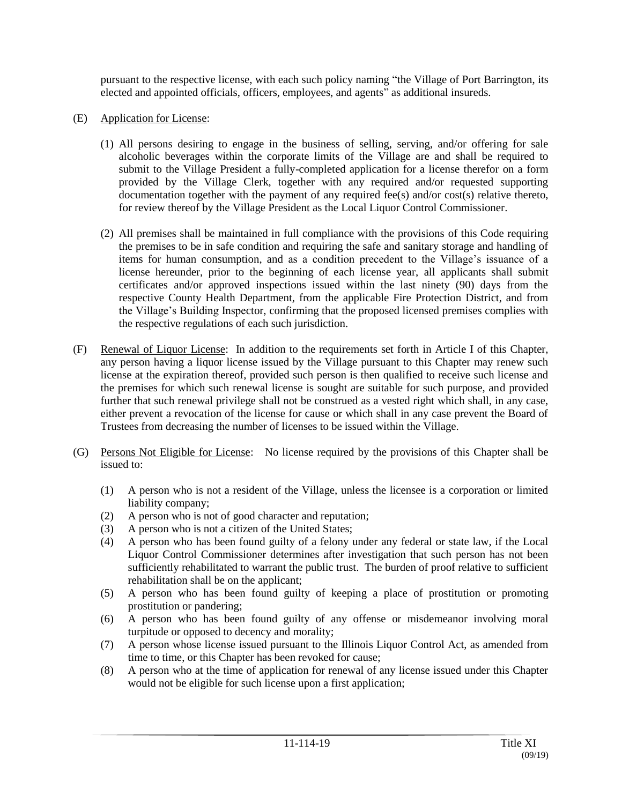pursuant to the respective license, with each such policy naming "the Village of Port Barrington, its elected and appointed officials, officers, employees, and agents" as additional insureds.

- (E) Application for License:
	- (1) All persons desiring to engage in the business of selling, serving, and/or offering for sale alcoholic beverages within the corporate limits of the Village are and shall be required to submit to the Village President a fully-completed application for a license therefor on a form provided by the Village Clerk, together with any required and/or requested supporting documentation together with the payment of any required fee(s) and/or cost(s) relative thereto, for review thereof by the Village President as the Local Liquor Control Commissioner.
	- (2) All premises shall be maintained in full compliance with the provisions of this Code requiring the premises to be in safe condition and requiring the safe and sanitary storage and handling of items for human consumption, and as a condition precedent to the Village's issuance of a license hereunder, prior to the beginning of each license year, all applicants shall submit certificates and/or approved inspections issued within the last ninety (90) days from the respective County Health Department, from the applicable Fire Protection District, and from the Village's Building Inspector, confirming that the proposed licensed premises complies with the respective regulations of each such jurisdiction.
- (F) Renewal of Liquor License: In addition to the requirements set forth in Article I of this Chapter, any person having a liquor license issued by the Village pursuant to this Chapter may renew such license at the expiration thereof, provided such person is then qualified to receive such license and the premises for which such renewal license is sought are suitable for such purpose, and provided further that such renewal privilege shall not be construed as a vested right which shall, in any case, either prevent a revocation of the license for cause or which shall in any case prevent the Board of Trustees from decreasing the number of licenses to be issued within the Village.
- (G) Persons Not Eligible for License: No license required by the provisions of this Chapter shall be issued to:
	- (1) A person who is not a resident of the Village, unless the licensee is a corporation or limited liability company;
	- (2) A person who is not of good character and reputation;
	- (3) A person who is not a citizen of the United States;
	- (4) A person who has been found guilty of a felony under any federal or state law, if the Local Liquor Control Commissioner determines after investigation that such person has not been sufficiently rehabilitated to warrant the public trust. The burden of proof relative to sufficient rehabilitation shall be on the applicant;
	- (5) A person who has been found guilty of keeping a place of prostitution or promoting prostitution or pandering;
	- (6) A person who has been found guilty of any offense or misdemeanor involving moral turpitude or opposed to decency and morality;
	- (7) A person whose license issued pursuant to the Illinois Liquor Control Act, as amended from time to time, or this Chapter has been revoked for cause;
	- (8) A person who at the time of application for renewal of any license issued under this Chapter would not be eligible for such license upon a first application;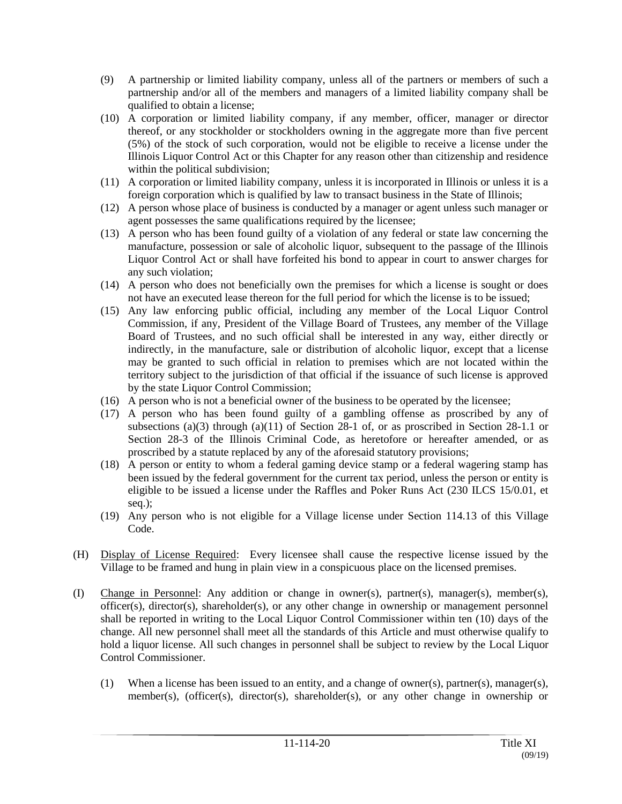- (9) A partnership or limited liability company, unless all of the partners or members of such a partnership and/or all of the members and managers of a limited liability company shall be qualified to obtain a license;
- (10) A corporation or limited liability company, if any member, officer, manager or director thereof, or any stockholder or stockholders owning in the aggregate more than five percent (5%) of the stock of such corporation, would not be eligible to receive a license under the Illinois Liquor Control Act or this Chapter for any reason other than citizenship and residence within the political subdivision;
- (11) A corporation or limited liability company, unless it is incorporated in Illinois or unless it is a foreign corporation which is qualified by law to transact business in the State of Illinois;
- (12) A person whose place of business is conducted by a manager or agent unless such manager or agent possesses the same qualifications required by the licensee;
- (13) A person who has been found guilty of a violation of any federal or state law concerning the manufacture, possession or sale of alcoholic liquor, subsequent to the passage of the Illinois Liquor Control Act or shall have forfeited his bond to appear in court to answer charges for any such violation;
- (14) A person who does not beneficially own the premises for which a license is sought or does not have an executed lease thereon for the full period for which the license is to be issued;
- (15) Any law enforcing public official, including any member of the Local Liquor Control Commission, if any, President of the Village Board of Trustees, any member of the Village Board of Trustees, and no such official shall be interested in any way, either directly or indirectly, in the manufacture, sale or distribution of alcoholic liquor, except that a license may be granted to such official in relation to premises which are not located within the territory subject to the jurisdiction of that official if the issuance of such license is approved by the state Liquor Control Commission;
- (16) A person who is not a beneficial owner of the business to be operated by the licensee;
- (17) A person who has been found guilty of a gambling offense as proscribed by any of subsections (a)(3) through (a)(11) of Section  $28-1$  of, or as proscribed in Section  $28-1.1$  or Section 28-3 of the Illinois Criminal Code, as heretofore or hereafter amended, or as proscribed by a statute replaced by any of the aforesaid statutory provisions;
- (18) A person or entity to whom a federal gaming device stamp or a federal wagering stamp has been issued by the federal government for the current tax period, unless the person or entity is eligible to be issued a license under the Raffles and Poker Runs Act (230 ILCS 15/0.01, et seq.);
- (19) Any person who is not eligible for a Village license under Section 114.13 of this Village Code.
- (H) Display of License Required: Every licensee shall cause the respective license issued by the Village to be framed and hung in plain view in a conspicuous place on the licensed premises.
- (I) Change in Personnel: Any addition or change in owner(s), partner(s), manager(s), member(s), officer(s), director(s), shareholder(s), or any other change in ownership or management personnel shall be reported in writing to the Local Liquor Control Commissioner within ten (10) days of the change. All new personnel shall meet all the standards of this Article and must otherwise qualify to hold a liquor license. All such changes in personnel shall be subject to review by the Local Liquor Control Commissioner.
	- (1) When a license has been issued to an entity, and a change of owner(s), partner(s), manager(s), member(s), (officer(s), director(s), shareholder(s), or any other change in ownership or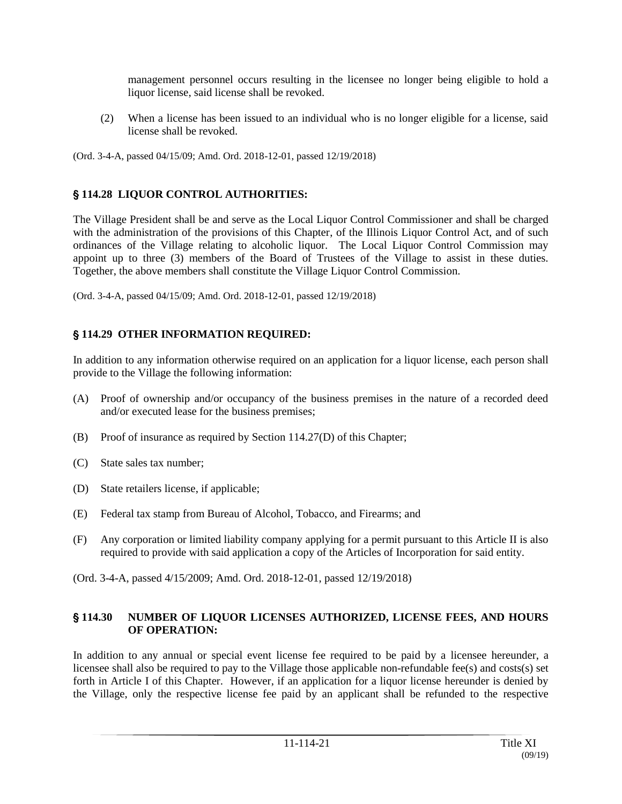management personnel occurs resulting in the licensee no longer being eligible to hold a liquor license, said license shall be revoked.

(2) When a license has been issued to an individual who is no longer eligible for a license, said license shall be revoked.

(Ord. 3-4-A, passed 04/15/09; Amd. Ord. 2018-12-01, passed 12/19/2018)

# ' **114.28 LIQUOR CONTROL AUTHORITIES:**

The Village President shall be and serve as the Local Liquor Control Commissioner and shall be charged with the administration of the provisions of this Chapter, of the Illinois Liquor Control Act, and of such ordinances of the Village relating to alcoholic liquor. The Local Liquor Control Commission may appoint up to three (3) members of the Board of Trustees of the Village to assist in these duties. Together, the above members shall constitute the Village Liquor Control Commission.

(Ord. 3-4-A, passed 04/15/09; Amd. Ord. 2018-12-01, passed 12/19/2018)

# ' **114.29 OTHER INFORMATION REQUIRED:**

In addition to any information otherwise required on an application for a liquor license, each person shall provide to the Village the following information:

- (A) Proof of ownership and/or occupancy of the business premises in the nature of a recorded deed and/or executed lease for the business premises;
- (B) Proof of insurance as required by Section 114.27(D) of this Chapter;
- (C) State sales tax number;
- (D) State retailers license, if applicable;
- (E) Federal tax stamp from Bureau of Alcohol, Tobacco, and Firearms; and
- (F) Any corporation or limited liability company applying for a permit pursuant to this Article II is also required to provide with said application a copy of the Articles of Incorporation for said entity.
- (Ord. 3-4-A, passed 4/15/2009; Amd. Ord. 2018-12-01, passed 12/19/2018)

## ' **114.30 NUMBER OF LIQUOR LICENSES AUTHORIZED, LICENSE FEES, AND HOURS OF OPERATION:**

In addition to any annual or special event license fee required to be paid by a licensee hereunder, a licensee shall also be required to pay to the Village those applicable non-refundable fee(s) and costs(s) set forth in Article I of this Chapter. However, if an application for a liquor license hereunder is denied by the Village, only the respective license fee paid by an applicant shall be refunded to the respective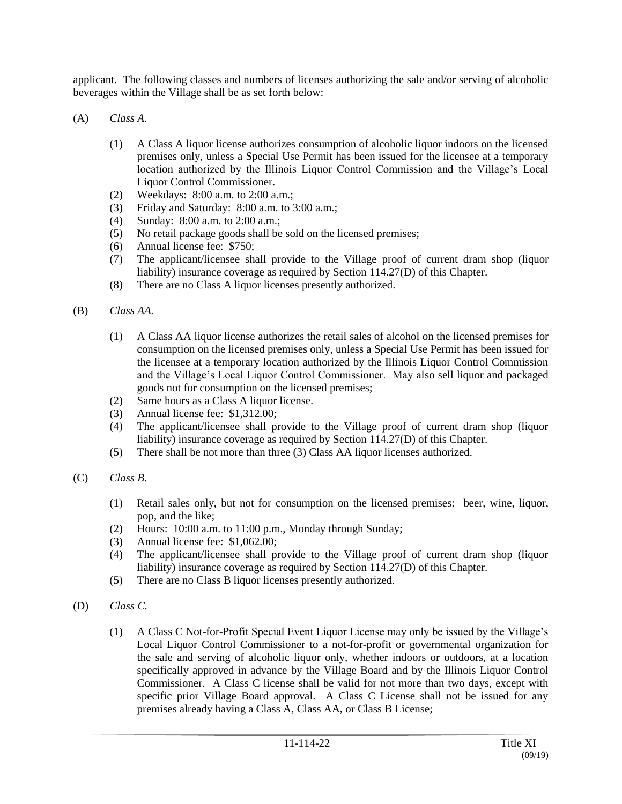applicant. The following classes and numbers of licenses authorizing the sale and/or serving of alcoholic beverages within the Village shall be as set forth below:

- (A) *Class A.*
	- (1) A Class A liquor license authorizes consumption of alcoholic liquor indoors on the licensed premises only, unless a Special Use Permit has been issued for the licensee at a temporary location authorized by the Illinois Liquor Control Commission and the Village's Local Liquor Control Commissioner.
	- (2) Weekdays: 8:00 a.m. to 2:00 a.m.;
	- (3) Friday and Saturday: 8:00 a.m. to 3:00 a.m.;
	- (4) Sunday: 8:00 a.m. to 2:00 a.m.;
	- (5) No retail package goods shall be sold on the licensed premises;
	- (6) Annual license fee: \$750;
	- (7) The applicant/licensee shall provide to the Village proof of current dram shop (liquor liability) insurance coverage as required by Section 114.27(D) of this Chapter.
	- (8) There are no Class A liquor licenses presently authorized.
- (B) *Class AA.*
	- (1) A Class AA liquor license authorizes the retail sales of alcohol on the licensed premises for consumption on the licensed premises only, unless a Special Use Permit has been issued for the licensee at a temporary location authorized by the Illinois Liquor Control Commission and the Village's Local Liquor Control Commissioner. May also sell liquor and packaged goods not for consumption on the licensed premises;
	- (2) Same hours as a Class A liquor license.
	- (3) Annual license fee: \$1,312.00;
	- (4) The applicant/licensee shall provide to the Village proof of current dram shop (liquor liability) insurance coverage as required by Section 114.27(D) of this Chapter.
	- (5) There shall be not more than three (3) Class AA liquor licenses authorized.
- (C) *Class B*.
	- (1) Retail sales only, but not for consumption on the licensed premises: beer, wine, liquor, pop, and the like;
	- (2) Hours: 10:00 a.m. to 11:00 p.m., Monday through Sunday;
	- (3) Annual license fee: \$1,062.00;
	- (4) The applicant/licensee shall provide to the Village proof of current dram shop (liquor liability) insurance coverage as required by Section 114.27(D) of this Chapter.
	- (5) There are no Class B liquor licenses presently authorized.
- (D) *Class C.*
	- (1) A Class C Not-for-Profit Special Event Liquor License may only be issued by the Village's Local Liquor Control Commissioner to a not-for-profit or governmental organization for the sale and serving of alcoholic liquor only, whether indoors or outdoors, at a location specifically approved in advance by the Village Board and by the Illinois Liquor Control Commissioner. A Class C license shall be valid for not more than two days, except with specific prior Village Board approval. A Class C License shall not be issued for any premises already having a Class A, Class AA, or Class B License;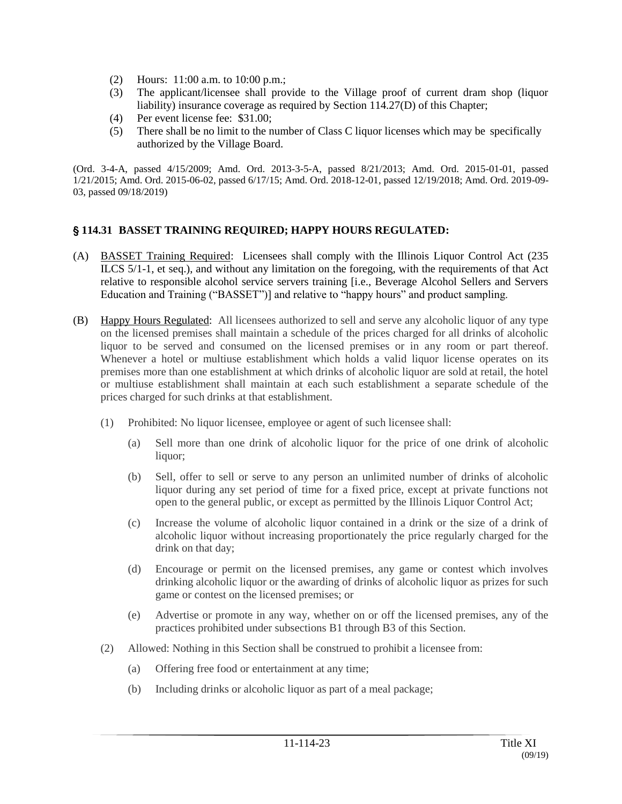- (2) Hours: 11:00 a.m. to 10:00 p.m.;
- (3) The applicant/licensee shall provide to the Village proof of current dram shop (liquor liability) insurance coverage as required by Section 114.27(D) of this Chapter;
- (4) Per event license fee: \$31.00;
- (5) There shall be no limit to the number of Class C liquor licenses which may be specifically authorized by the Village Board.

(Ord. 3-4-A, passed 4/15/2009; Amd. Ord. 2013-3-5-A, passed 8/21/2013; Amd. Ord. 2015-01-01, passed 1/21/2015; Amd. Ord. 2015-06-02, passed 6/17/15; Amd. Ord. 2018-12-01, passed 12/19/2018; Amd. Ord. 2019-09- 03, passed 09/18/2019)

### ' **114.31 BASSET TRAINING REQUIRED; HAPPY HOURS REGULATED:**

- (A) BASSET Training Required: Licensees shall comply with the Illinois Liquor Control Act (235 ILCS 5/1-1, et seq.), and without any limitation on the foregoing, with the requirements of that Act relative to responsible alcohol service servers training [i.e., Beverage Alcohol Sellers and Servers Education and Training ("BASSET")] and relative to "happy hours" and product sampling.
- (B) Happy Hours Regulated: All licensees authorized to sell and serve any alcoholic liquor of any type on the licensed premises shall maintain a schedule of the prices charged for all drinks of alcoholic liquor to be served and consumed on the licensed premises or in any room or part thereof. Whenever a hotel or multiuse establishment which holds a valid liquor license operates on its premises more than one establishment at which drinks of alcoholic liquor are sold at retail, the hotel or multiuse establishment shall maintain at each such establishment a separate schedule of the prices charged for such drinks at that establishment.
	- (1) Prohibited: No liquor licensee, employee or agent of such licensee shall:
		- (a) Sell more than one drink of alcoholic liquor for the price of one drink of alcoholic liquor;
		- (b) Sell, offer to sell or serve to any person an unlimited number of drinks of alcoholic liquor during any set period of time for a fixed price, except at private functions not open to the general public, or except as permitted by the Illinois Liquor Control Act;
		- (c) Increase the volume of alcoholic liquor contained in a drink or the size of a drink of alcoholic liquor without increasing proportionately the price regularly charged for the drink on that day;
		- (d) Encourage or permit on the licensed premises, any game or contest which involves drinking alcoholic liquor or the awarding of drinks of alcoholic liquor as prizes for such game or contest on the licensed premises; or
		- (e) Advertise or promote in any way, whether on or off the licensed premises, any of the practices prohibited under subsections B1 through B3 of this Section.
	- (2) Allowed: Nothing in this Section shall be construed to prohibit a licensee from:
		- (a) Offering free food or entertainment at any time;
		- (b) Including drinks or alcoholic liquor as part of a meal package;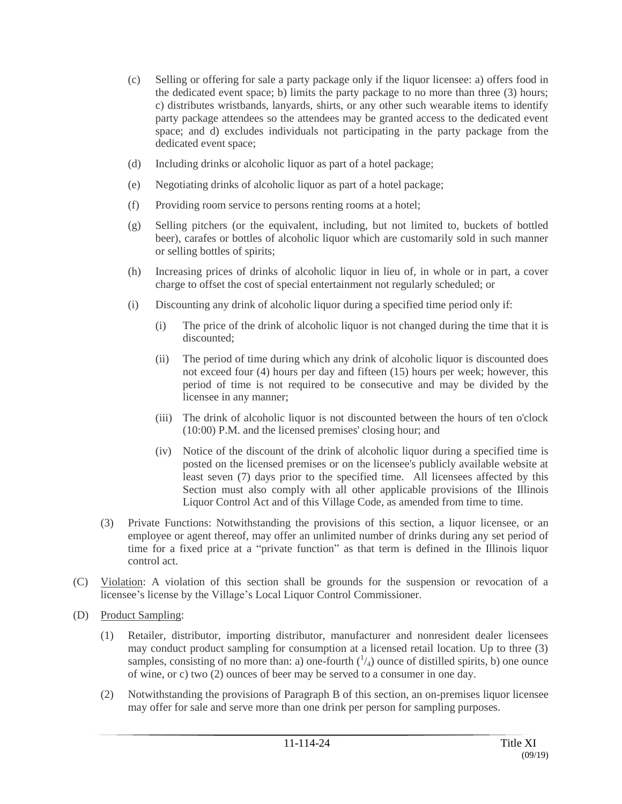- (c) Selling or offering for sale a party package only if the liquor licensee: a) offers food in the dedicated event space; b) limits the party package to no more than three (3) hours; c) distributes wristbands, lanyards, shirts, or any other such wearable items to identify party package attendees so the attendees may be granted access to the dedicated event space; and d) excludes individuals not participating in the party package from the dedicated event space;
- (d) Including drinks or alcoholic liquor as part of a hotel package;
- (e) Negotiating drinks of alcoholic liquor as part of a hotel package;
- (f) Providing room service to persons renting rooms at a hotel;
- (g) Selling pitchers (or the equivalent, including, but not limited to, buckets of bottled beer), carafes or bottles of alcoholic liquor which are customarily sold in such manner or selling bottles of spirits;
- (h) Increasing prices of drinks of alcoholic liquor in lieu of, in whole or in part, a cover charge to offset the cost of special entertainment not regularly scheduled; or
- (i) Discounting any drink of alcoholic liquor during a specified time period only if:
	- (i) The price of the drink of alcoholic liquor is not changed during the time that it is discounted;
	- (ii) The period of time during which any drink of alcoholic liquor is discounted does not exceed four (4) hours per day and fifteen (15) hours per week; however, this period of time is not required to be consecutive and may be divided by the licensee in any manner;
	- (iii) The drink of alcoholic liquor is not discounted between the hours of ten o'clock (10:00) P.M. and the licensed premises' closing hour; and
	- (iv) Notice of the discount of the drink of alcoholic liquor during a specified time is posted on the licensed premises or on the licensee's publicly available website at least seven (7) days prior to the specified time. All licensees affected by this Section must also comply with all other applicable provisions of the Illinois Liquor Control Act and of this Village Code, as amended from time to time.
- (3) Private Functions: Notwithstanding the provisions of this section, a liquor licensee, or an employee or agent thereof, may offer an unlimited number of drinks during any set period of time for a fixed price at a "private function" as that term is defined in the Illinois liquor control act.
- (C) Violation: A violation of this section shall be grounds for the suspension or revocation of a licensee's license by the Village's Local Liquor Control Commissioner.
- (D) Product Sampling:
	- (1) Retailer, distributor, importing distributor, manufacturer and nonresident dealer licensees may conduct product sampling for consumption at a licensed retail location. Up to three (3) samples, consisting of no more than: a) one-fourth  $\binom{1}{4}$  ounce of distilled spirits, b) one ounce of wine, or c) two (2) ounces of beer may be served to a consumer in one day.
	- (2) Notwithstanding the provisions of Paragraph B of this section, an on-premises liquor licensee may offer for sale and serve more than one drink per person for sampling purposes.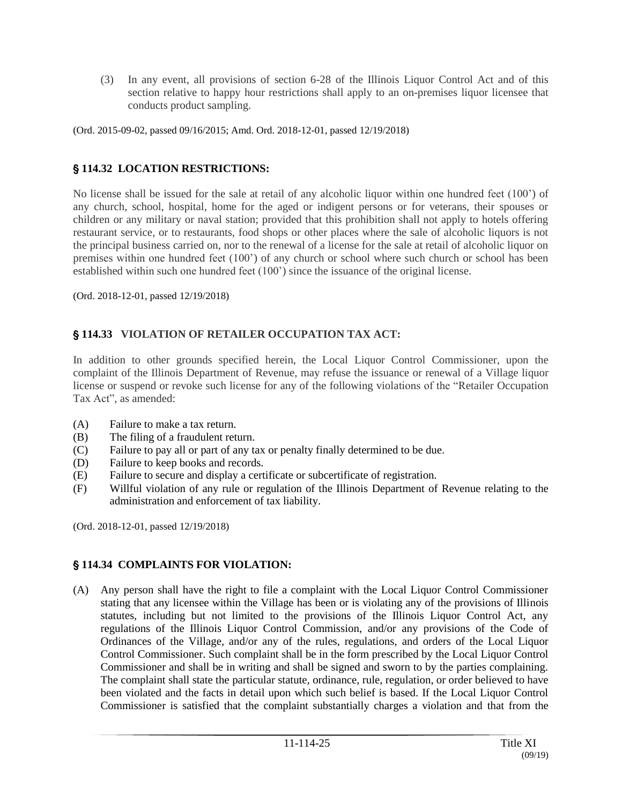(3) In any event, all provisions of section 6-28 of the Illinois Liquor Control Act and of this section relative to happy hour restrictions shall apply to an on-premises liquor licensee that conducts product sampling.

(Ord. 2015-09-02, passed 09/16/2015; Amd. Ord. 2018-12-01, passed 12/19/2018)

# ' **114.32 LOCATION RESTRICTIONS:**

No license shall be issued for the sale at retail of any alcoholic liquor within one hundred feet (100') of any church, school, hospital, home for the aged or indigent persons or for veterans, their spouses or children or any military or naval station; provided that this prohibition shall not apply to hotels offering restaurant service, or to restaurants, food shops or other places where the sale of alcoholic liquors is not the principal business carried on, nor to the renewal of a license for the sale at retail of alcoholic liquor on premises within one hundred feet (100') of any church or school where such church or school has been established within such one hundred feet (100') since the issuance of the original license.

(Ord. 2018-12-01, passed 12/19/2018)

## ' **114.33 VIOLATION OF RETAILER OCCUPATION TAX ACT:**

In addition to other grounds specified herein, the Local Liquor Control Commissioner, upon the complaint of the Illinois Department of Revenue, may refuse the issuance or renewal of a Village liquor license or suspend or revoke such license for any of the following violations of the "Retailer Occupation Tax Act", as amended:

- (A) Failure to make a tax return.
- (B) The filing of a fraudulent return.
- (C) Failure to pay all or part of any tax or penalty finally determined to be due.
- (D) Failure to keep books and records.
- (E) Failure to secure and display a certificate or subcertificate of registration.
- (F) Willful violation of any rule or regulation of the Illinois Department of Revenue relating to the administration and enforcement of tax liability.

(Ord. 2018-12-01, passed 12/19/2018)

## ' **114.34 COMPLAINTS FOR VIOLATION:**

(A) Any person shall have the right to file a complaint with the Local Liquor Control Commissioner stating that any licensee within the Village has been or is violating any of the provisions of Illinois statutes, including but not limited to the provisions of the Illinois Liquor Control Act, any regulations of the Illinois Liquor Control Commission, and/or any provisions of the Code of Ordinances of the Village, and/or any of the rules, regulations, and orders of the Local Liquor Control Commissioner. Such complaint shall be in the form prescribed by the Local Liquor Control Commissioner and shall be in writing and shall be signed and sworn to by the parties complaining. The complaint shall state the particular statute, ordinance, rule, regulation, or order believed to have been violated and the facts in detail upon which such belief is based. If the Local Liquor Control Commissioner is satisfied that the complaint substantially charges a violation and that from the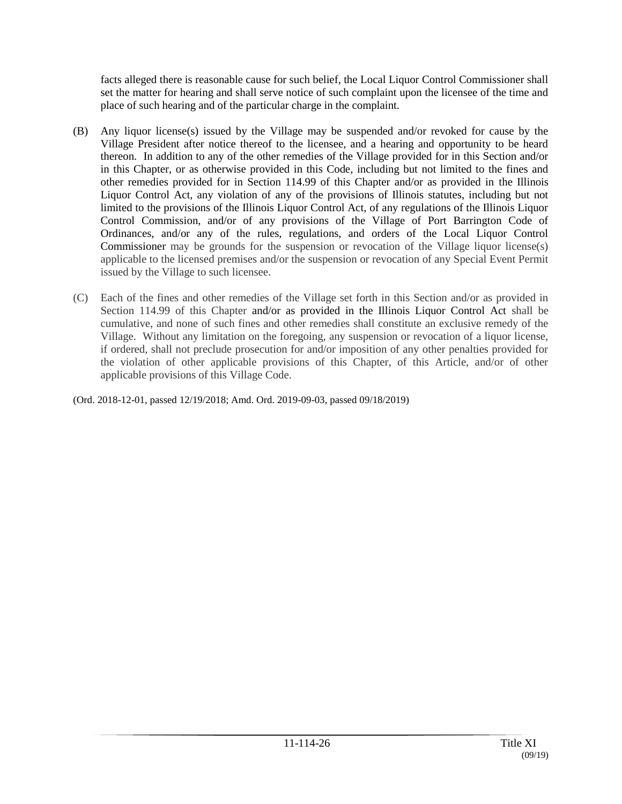facts alleged there is reasonable cause for such belief, the Local Liquor Control Commissioner shall set the matter for hearing and shall serve notice of such complaint upon the licensee of the time and place of such hearing and of the particular charge in the complaint.

- (B) Any liquor license(s) issued by the Village may be suspended and/or revoked for cause by the Village President after notice thereof to the licensee, and a hearing and opportunity to be heard thereon. In addition to any of the other remedies of the Village provided for in this Section and/or in this Chapter, or as otherwise provided in this Code, including but not limited to the fines and other remedies provided for in Section 114.99 of this Chapter and/or as provided in the Illinois Liquor Control Act, any violation of any of the provisions of Illinois statutes, including but not limited to the provisions of the Illinois Liquor Control Act, of any regulations of the Illinois Liquor Control Commission, and/or of any provisions of the Village of Port Barrington Code of Ordinances, and/or any of the rules, regulations, and orders of the Local Liquor Control Commissioner may be grounds for the suspension or revocation of the Village liquor license(s) applicable to the licensed premises and/or the suspension or revocation of any Special Event Permit issued by the Village to such licensee.
- (C) Each of the fines and other remedies of the Village set forth in this Section and/or as provided in Section 114.99 of this Chapter and/or as provided in the Illinois Liquor Control Act shall be cumulative, and none of such fines and other remedies shall constitute an exclusive remedy of the Village. Without any limitation on the foregoing, any suspension or revocation of a liquor license, if ordered, shall not preclude prosecution for and/or imposition of any other penalties provided for the violation of other applicable provisions of this Chapter, of this Article, and/or of other applicable provisions of this Village Code.

(Ord. 2018-12-01, passed 12/19/2018; Amd. Ord. 2019-09-03, passed 09/18/2019)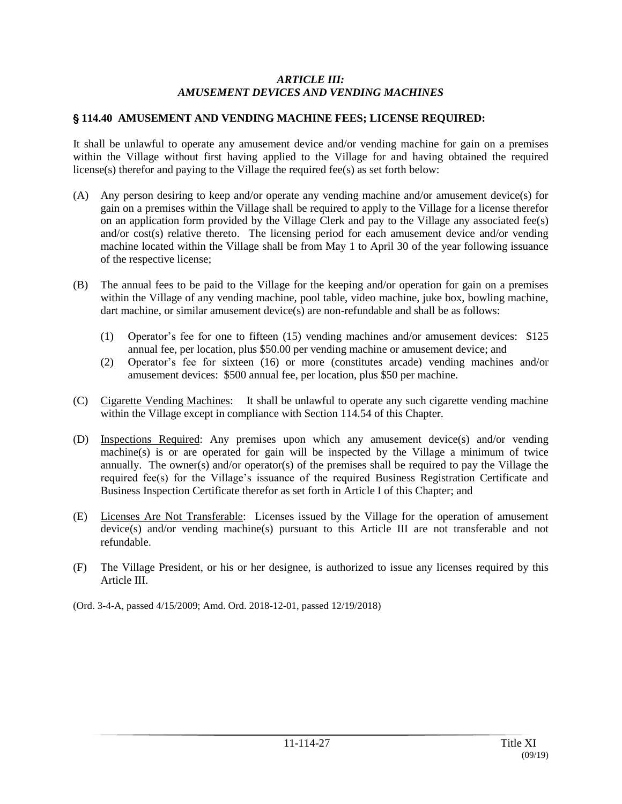### *ARTICLE III: AMUSEMENT DEVICES AND VENDING MACHINES*

## ' **114.40 AMUSEMENT AND VENDING MACHINE FEES; LICENSE REQUIRED:**

It shall be unlawful to operate any amusement device and/or vending machine for gain on a premises within the Village without first having applied to the Village for and having obtained the required license(s) therefor and paying to the Village the required fee(s) as set forth below:

- (A) Any person desiring to keep and/or operate any vending machine and/or amusement device(s) for gain on a premises within the Village shall be required to apply to the Village for a license therefor on an application form provided by the Village Clerk and pay to the Village any associated fee(s) and/or cost(s) relative thereto. The licensing period for each amusement device and/or vending machine located within the Village shall be from May 1 to April 30 of the year following issuance of the respective license;
- (B) The annual fees to be paid to the Village for the keeping and/or operation for gain on a premises within the Village of any vending machine, pool table, video machine, juke box, bowling machine, dart machine, or similar amusement device(s) are non-refundable and shall be as follows:
	- (1) Operator's fee for one to fifteen (15) vending machines and/or amusement devices: \$125 annual fee, per location, plus \$50.00 per vending machine or amusement device; and
	- (2) Operator's fee for sixteen (16) or more (constitutes arcade) vending machines and/or amusement devices: \$500 annual fee, per location, plus \$50 per machine.
- (C) Cigarette Vending Machines: It shall be unlawful to operate any such cigarette vending machine within the Village except in compliance with Section 114.54 of this Chapter.
- (D) Inspections Required: Any premises upon which any amusement device(s) and/or vending machine(s) is or are operated for gain will be inspected by the Village a minimum of twice annually. The owner(s) and/or operator(s) of the premises shall be required to pay the Village the required fee(s) for the Village's issuance of the required Business Registration Certificate and Business Inspection Certificate therefor as set forth in Article I of this Chapter; and
- (E) Licenses Are Not Transferable: Licenses issued by the Village for the operation of amusement device(s) and/or vending machine(s) pursuant to this Article III are not transferable and not refundable.
- (F) The Village President, or his or her designee, is authorized to issue any licenses required by this Article III.
- (Ord. 3-4-A, passed 4/15/2009; Amd. Ord. 2018-12-01, passed 12/19/2018)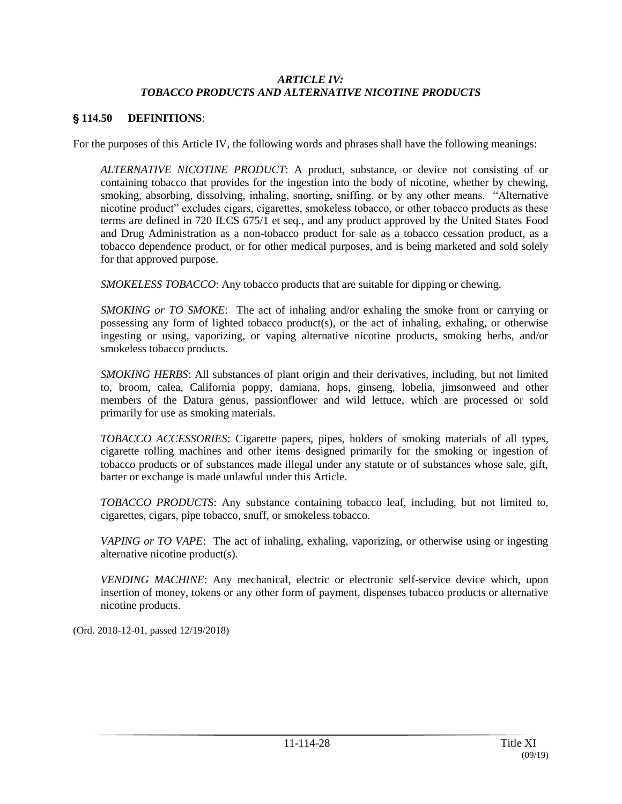### *ARTICLE IV: TOBACCO PRODUCTS AND ALTERNATIVE NICOTINE PRODUCTS*

### ' **114.50 DEFINITIONS**:

For the purposes of this Article IV, the following words and phrases shall have the following meanings:

*ALTERNATIVE NICOTINE PRODUCT*: A product, substance, or device not consisting of or containing tobacco that provides for the ingestion into the body of nicotine, whether by chewing, smoking, absorbing, dissolving, inhaling, snorting, sniffing, or by any other means. "Alternative nicotine product" excludes cigars, cigarettes, smokeless tobacco, or other tobacco products as these terms are defined in 720 ILCS 675/1 et seq., and any product approved by the United States Food and Drug Administration as a non-tobacco product for sale as a tobacco cessation product, as a tobacco dependence product, or for other medical purposes, and is being marketed and sold solely for that approved purpose.

*SMOKELESS TOBACCO*: Any tobacco products that are suitable for dipping or chewing.

*SMOKING or TO SMOKE*: The act of inhaling and/or exhaling the smoke from or carrying or possessing any form of lighted tobacco product(s), or the act of inhaling, exhaling, or otherwise ingesting or using, vaporizing, or vaping alternative nicotine products, smoking herbs, and/or smokeless tobacco products.

*SMOKING HERBS*: All substances of plant origin and their derivatives, including, but not limited to, broom, calea, California poppy, damiana, hops, ginseng, lobelia, jimsonweed and other members of the Datura genus, passionflower and wild lettuce, which are processed or sold primarily for use as smoking materials.

*TOBACCO ACCESSORIES*: Cigarette papers, pipes, holders of smoking materials of all types, cigarette rolling machines and other items designed primarily for the smoking or ingestion of tobacco products or of substances made illegal under any statute or of substances whose sale, gift, barter or exchange is made unlawful under this Article.

*TOBACCO PRODUCTS*: Any substance containing tobacco leaf, including, but not limited to, cigarettes, cigars, pipe tobacco, snuff, or smokeless tobacco.

*VAPING or TO VAPE*: The act of inhaling, exhaling, vaporizing, or otherwise using or ingesting alternative nicotine product(s).

*VENDING MACHINE*: Any mechanical, electric or electronic self-service device which, upon insertion of money, tokens or any other form of payment, dispenses tobacco products or alternative nicotine products.

(Ord. 2018-12-01, passed 12/19/2018)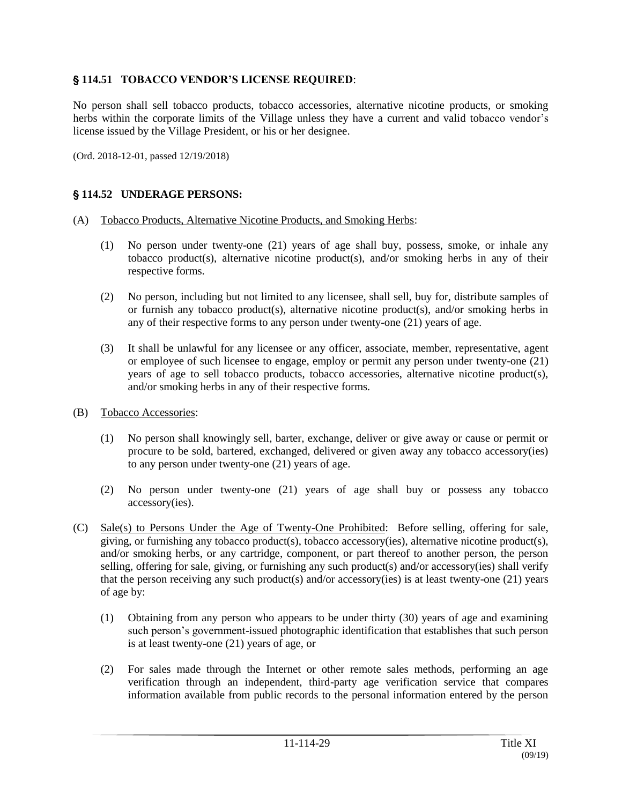## ' **114.51 TOBACCO VENDOR'S LICENSE REQUIRED**:

No person shall sell tobacco products, tobacco accessories, alternative nicotine products, or smoking herbs within the corporate limits of the Village unless they have a current and valid tobacco vendor's license issued by the Village President, or his or her designee.

(Ord. 2018-12-01, passed 12/19/2018)

### ' **114.52 UNDERAGE PERSONS:**

- (A) Tobacco Products, Alternative Nicotine Products, and Smoking Herbs:
	- (1) No person under twenty-one (21) years of age shall buy, possess, smoke, or inhale any tobacco product(s), alternative nicotine product(s), and/or smoking herbs in any of their respective forms.
	- (2) No person, including but not limited to any licensee, shall sell, buy for, distribute samples of or furnish any tobacco product(s), alternative nicotine product(s), and/or smoking herbs in any of their respective forms to any person under twenty-one (21) years of age.
	- (3) It shall be unlawful for any licensee or any officer, associate, member, representative, agent or employee of such licensee to engage, employ or permit any person under twenty-one (21) years of age to sell tobacco products, tobacco accessories, alternative nicotine product(s), and/or smoking herbs in any of their respective forms.
- (B) Tobacco Accessories:
	- (1) No person shall knowingly sell, barter, exchange, deliver or give away or cause or permit or procure to be sold, bartered, exchanged, delivered or given away any tobacco accessory(ies) to any person under twenty-one (21) years of age.
	- (2) No person under twenty-one (21) years of age shall buy or possess any tobacco accessory(ies).
- (C) Sale(s) to Persons Under the Age of Twenty-One Prohibited: Before selling, offering for sale, giving, or furnishing any tobacco product(s), tobacco accessory(ies), alternative nicotine product(s), and/or smoking herbs, or any cartridge, component, or part thereof to another person, the person selling, offering for sale, giving, or furnishing any such product(s) and/or accessory(ies) shall verify that the person receiving any such product(s) and/or accessory(ies) is at least twenty-one (21) years of age by:
	- (1) Obtaining from any person who appears to be under thirty (30) years of age and examining such person's government-issued photographic identification that establishes that such person is at least twenty-one (21) years of age, or
	- (2) For sales made through the Internet or other remote sales methods, performing an age verification through an independent, third-party age verification service that compares information available from public records to the personal information entered by the person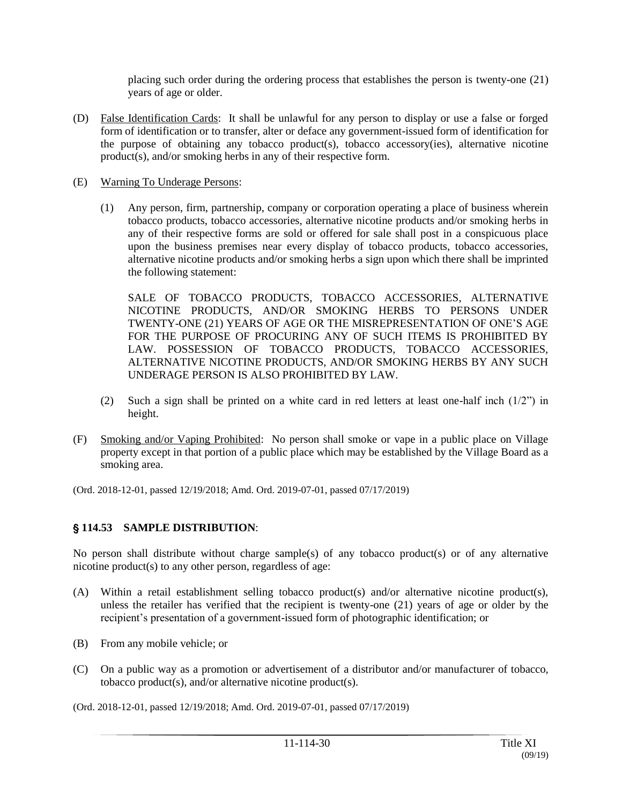placing such order during the ordering process that establishes the person is twenty-one (21) years of age or older.

(D) False Identification Cards: It shall be unlawful for any person to display or use a false or forged form of identification or to transfer, alter or deface any government-issued form of identification for the purpose of obtaining any tobacco product(s), tobacco accessory(ies), alternative nicotine product(s), and/or smoking herbs in any of their respective form.

## (E) Warning To Underage Persons:

(1) Any person, firm, partnership, company or corporation operating a place of business wherein tobacco products, tobacco accessories, alternative nicotine products and/or smoking herbs in any of their respective forms are sold or offered for sale shall post in a conspicuous place upon the business premises near every display of tobacco products, tobacco accessories, alternative nicotine products and/or smoking herbs a sign upon which there shall be imprinted the following statement:

SALE OF TOBACCO PRODUCTS, TOBACCO ACCESSORIES, ALTERNATIVE NICOTINE PRODUCTS, AND/OR SMOKING HERBS TO PERSONS UNDER TWENTY-ONE (21) YEARS OF AGE OR THE MISREPRESENTATION OF ONE'S AGE FOR THE PURPOSE OF PROCURING ANY OF SUCH ITEMS IS PROHIBITED BY LAW. POSSESSION OF TOBACCO PRODUCTS, TOBACCO ACCESSORIES, ALTERNATIVE NICOTINE PRODUCTS, AND/OR SMOKING HERBS BY ANY SUCH UNDERAGE PERSON IS ALSO PROHIBITED BY LAW.

- (2) Such a sign shall be printed on a white card in red letters at least one-half inch  $(1/2)$ " in height.
- (F) Smoking and/or Vaping Prohibited: No person shall smoke or vape in a public place on Village property except in that portion of a public place which may be established by the Village Board as a smoking area.

(Ord. 2018-12-01, passed 12/19/2018; Amd. Ord. 2019-07-01, passed 07/17/2019)

## ' **114.53 SAMPLE DISTRIBUTION**:

No person shall distribute without charge sample(s) of any tobacco product(s) or of any alternative nicotine product(s) to any other person, regardless of age:

- (A) Within a retail establishment selling tobacco product(s) and/or alternative nicotine product(s), unless the retailer has verified that the recipient is twenty-one (21) years of age or older by the recipient's presentation of a government-issued form of photographic identification; or
- (B) From any mobile vehicle; or
- (C) On a public way as a promotion or advertisement of a distributor and/or manufacturer of tobacco, tobacco product(s), and/or alternative nicotine product(s).

(Ord. 2018-12-01, passed 12/19/2018; Amd. Ord. 2019-07-01, passed 07/17/2019)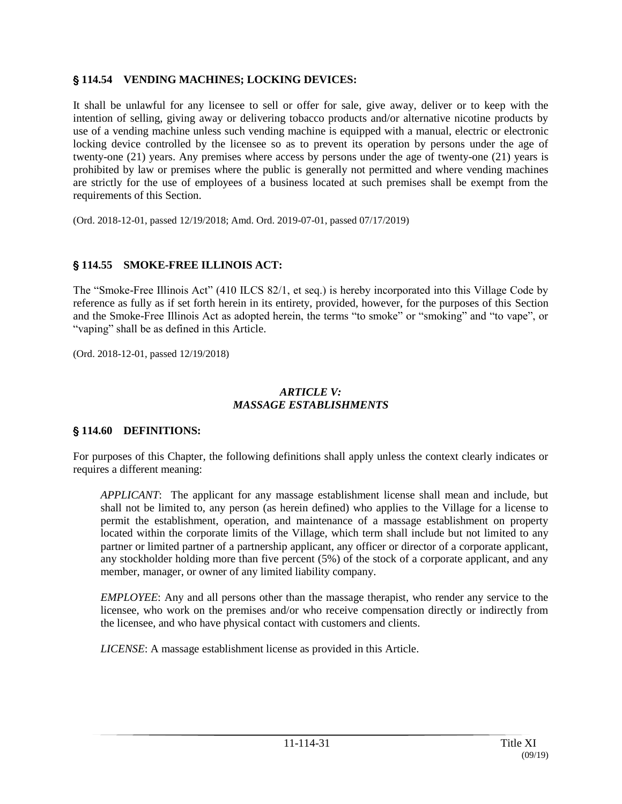## ' **114.54 VENDING MACHINES; LOCKING DEVICES:**

It shall be unlawful for any licensee to sell or offer for sale, give away, deliver or to keep with the intention of selling, giving away or delivering tobacco products and/or alternative nicotine products by use of a vending machine unless such vending machine is equipped with a manual, electric or electronic locking device controlled by the licensee so as to prevent its operation by persons under the age of twenty-one (21) years. Any premises where access by persons under the age of twenty-one (21) years is prohibited by law or premises where the public is generally not permitted and where vending machines are strictly for the use of employees of a business located at such premises shall be exempt from the requirements of this Section.

(Ord. 2018-12-01, passed 12/19/2018; Amd. Ord. 2019-07-01, passed 07/17/2019)

## ' **114.55 SMOKE-FREE ILLINOIS ACT:**

The "Smoke-Free Illinois Act" (410 ILCS 82/1, et seq.) is hereby incorporated into this Village Code by reference as fully as if set forth herein in its entirety, provided, however, for the purposes of this Section and the Smoke-Free Illinois Act as adopted herein, the terms "to smoke" or "smoking" and "to vape", or "vaping" shall be as defined in this Article.

(Ord. 2018-12-01, passed 12/19/2018)

#### *ARTICLE V: MASSAGE ESTABLISHMENTS*

### ' **114.60 DEFINITIONS:**

For purposes of this Chapter, the following definitions shall apply unless the context clearly indicates or requires a different meaning:

*APPLICANT*: The applicant for any massage establishment license shall mean and include, but shall not be limited to, any person (as herein defined) who applies to the Village for a license to permit the establishment, operation, and maintenance of a massage establishment on property located within the corporate limits of the Village, which term shall include but not limited to any partner or limited partner of a partnership applicant, any officer or director of a corporate applicant, any stockholder holding more than five percent (5%) of the stock of a corporate applicant, and any member, manager, or owner of any limited liability company.

*EMPLOYEE*: Any and all persons other than the massage therapist, who render any service to the licensee, who work on the premises and/or who receive compensation directly or indirectly from the licensee, and who have physical contact with customers and clients.

*LICENSE*: A massage establishment license as provided in this Article.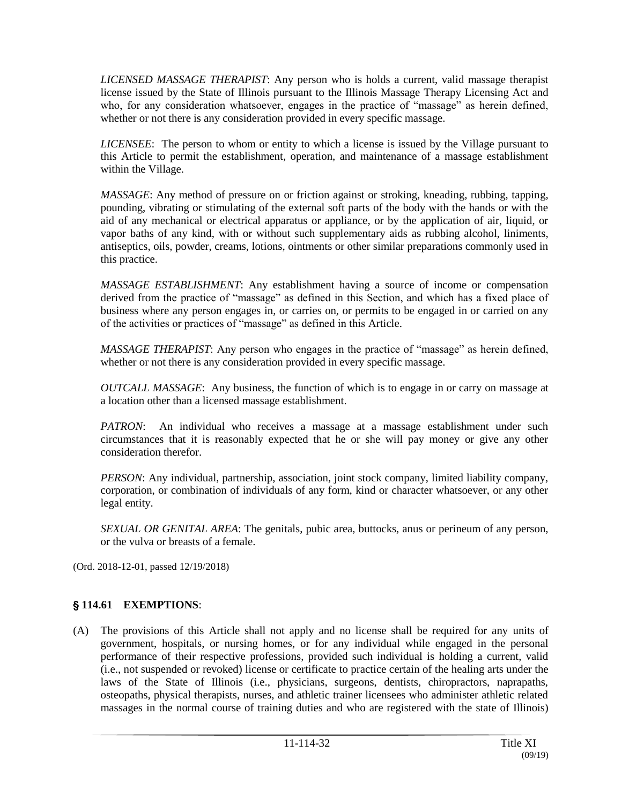*LICENSED MASSAGE THERAPIST*: Any person who is holds a current, valid massage therapist license issued by the State of Illinois pursuant to the Illinois Massage Therapy Licensing Act and who, for any consideration whatsoever, engages in the practice of "massage" as herein defined, whether or not there is any consideration provided in every specific massage.

*LICENSEE*: The person to whom or entity to which a license is issued by the Village pursuant to this Article to permit the establishment, operation, and maintenance of a massage establishment within the Village.

*MASSAGE*: Any method of pressure on or friction against or stroking, kneading, rubbing, tapping, pounding, vibrating or stimulating of the external soft parts of the body with the hands or with the aid of any mechanical or electrical apparatus or appliance, or by the application of air, liquid, or vapor baths of any kind, with or without such supplementary aids as rubbing alcohol, liniments, antiseptics, oils, powder, creams, lotions, ointments or other similar preparations commonly used in this practice.

*MASSAGE ESTABLISHMENT*: Any establishment having a source of income or compensation derived from the practice of "massage" as defined in this Section, and which has a fixed place of business where any person engages in, or carries on, or permits to be engaged in or carried on any of the activities or practices of "massage" as defined in this Article.

*MASSAGE THERAPIST*: Any person who engages in the practice of "massage" as herein defined, whether or not there is any consideration provided in every specific massage.

*OUTCALL MASSAGE*: Any business, the function of which is to engage in or carry on massage at a location other than a licensed massage establishment.

*PATRON*: An individual who receives a massage at a massage establishment under such circumstances that it is reasonably expected that he or she will pay money or give any other consideration therefor.

*PERSON*: Any individual, partnership, association, joint stock company, limited liability company, corporation, or combination of individuals of any form, kind or character whatsoever, or any other legal entity.

*SEXUAL OR GENITAL AREA*: The genitals, pubic area, buttocks, anus or perineum of any person, or the vulva or breasts of a female.

(Ord. 2018-12-01, passed 12/19/2018)

## ' **114.61 EXEMPTIONS**:

(A) The provisions of this Article shall not apply and no license shall be required for any units of government, hospitals, or nursing homes, or for any individual while engaged in the personal performance of their respective professions, provided such individual is holding a current, valid (i.e., not suspended or revoked) license or certificate to practice certain of the healing arts under the laws of the State of Illinois (i.e., physicians, surgeons, dentists, chiropractors, naprapaths, osteopaths, physical therapists, nurses, and athletic trainer licensees who administer athletic related massages in the normal course of training duties and who are registered with the state of Illinois)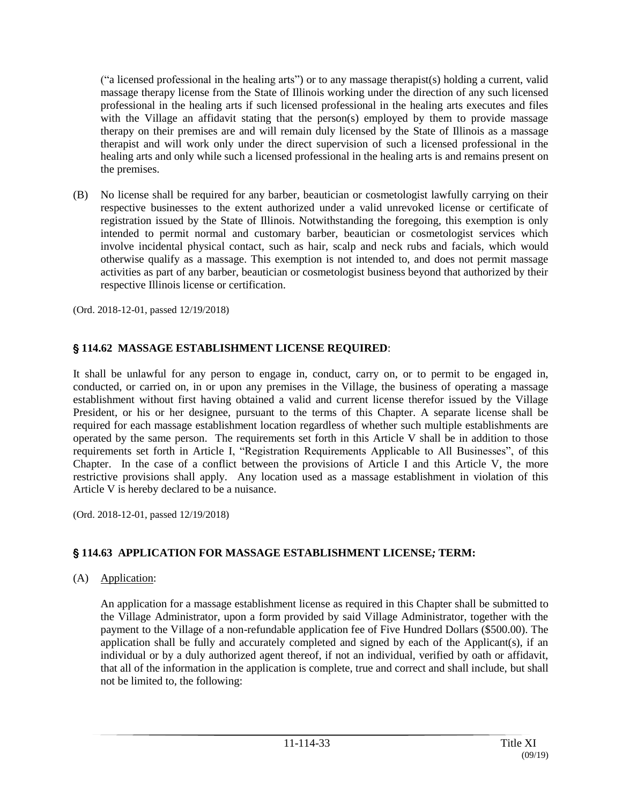("a licensed professional in the healing arts") or to any massage therapist(s) holding a current, valid massage therapy license from the State of Illinois working under the direction of any such licensed professional in the healing arts if such licensed professional in the healing arts executes and files with the Village an affidavit stating that the person(s) employed by them to provide massage therapy on their premises are and will remain duly licensed by the State of Illinois as a massage therapist and will work only under the direct supervision of such a licensed professional in the healing arts and only while such a licensed professional in the healing arts is and remains present on the premises.

(B) No license shall be required for any barber, beautician or cosmetologist lawfully carrying on their respective businesses to the extent authorized under a valid unrevoked license or certificate of registration issued by the State of Illinois. Notwithstanding the foregoing, this exemption is only intended to permit normal and customary barber, beautician or cosmetologist services which involve incidental physical contact, such as hair, scalp and neck rubs and facials, which would otherwise qualify as a massage. This exemption is not intended to, and does not permit massage activities as part of any barber, beautician or cosmetologist business beyond that authorized by their respective Illinois license or certification.

(Ord. 2018-12-01, passed 12/19/2018)

# ' **114.62 MASSAGE ESTABLISHMENT LICENSE REQUIRED**:

It shall be unlawful for any person to engage in, conduct, carry on, or to permit to be engaged in, conducted, or carried on, in or upon any premises in the Village, the business of operating a massage establishment without first having obtained a valid and current license therefor issued by the Village President, or his or her designee, pursuant to the terms of this Chapter. A separate license shall be required for each massage establishment location regardless of whether such multiple establishments are operated by the same person. The requirements set forth in this Article V shall be in addition to those requirements set forth in Article I, "Registration Requirements Applicable to All Businesses", of this Chapter. In the case of a conflict between the provisions of Article I and this Article V, the more restrictive provisions shall apply. Any location used as a massage establishment in violation of this Article V is hereby declared to be a nuisance.

(Ord. 2018-12-01, passed 12/19/2018)

# ' **114.63 APPLICATION FOR MASSAGE ESTABLISHMENT LICENSE***;* **TERM:**

(A) Application:

An application for a massage establishment license as required in this Chapter shall be submitted to the Village Administrator, upon a form provided by said Village Administrator, together with the payment to the Village of a non-refundable application fee of Five Hundred Dollars (\$500.00). The application shall be fully and accurately completed and signed by each of the Applicant(s), if an individual or by a duly authorized agent thereof, if not an individual, verified by oath or affidavit, that all of the information in the application is complete, true and correct and shall include, but shall not be limited to, the following: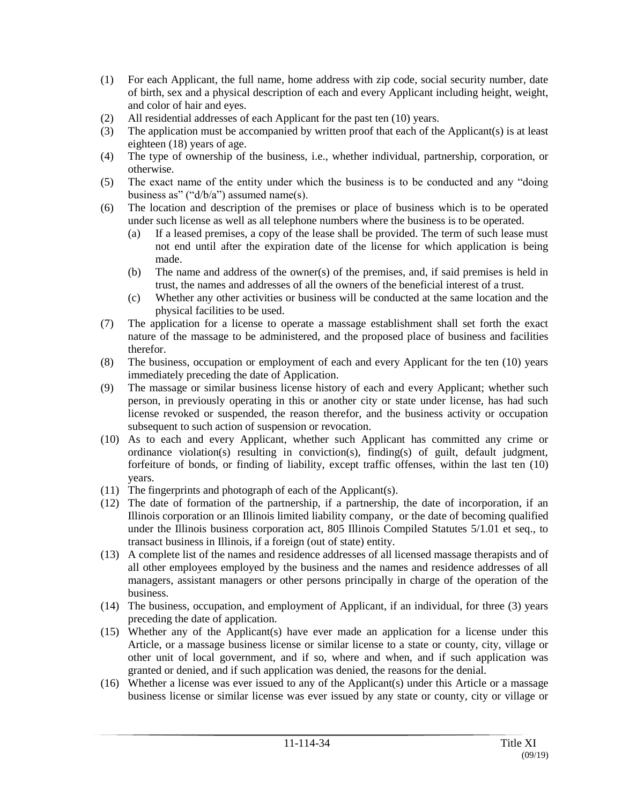- (1) For each Applicant, the full name, home address with zip code, social security number, date of birth, sex and a physical description of each and every Applicant including height, weight, and color of hair and eyes.
- (2) All residential addresses of each Applicant for the past ten (10) years.
- (3) The application must be accompanied by written proof that each of the Applicant(s) is at least eighteen (18) years of age.
- (4) The type of ownership of the business, i.e., whether individual, partnership, corporation, or otherwise.
- (5) The exact name of the entity under which the business is to be conducted and any "doing business as" ("d/b/a") assumed name(s).
- (6) The location and description of the premises or place of business which is to be operated under such license as well as all telephone numbers where the business is to be operated.
	- (a) If a leased premises, a copy of the lease shall be provided. The term of such lease must not end until after the expiration date of the license for which application is being made.
	- (b) The name and address of the owner(s) of the premises, and, if said premises is held in trust, the names and addresses of all the owners of the beneficial interest of a trust.
	- (c) Whether any other activities or business will be conducted at the same location and the physical facilities to be used.
- (7) The application for a license to operate a massage establishment shall set forth the exact nature of the massage to be administered, and the proposed place of business and facilities therefor.
- (8) The business, occupation or employment of each and every Applicant for the ten (10) years immediately preceding the date of Application.
- (9) The massage or similar business license history of each and every Applicant; whether such person, in previously operating in this or another city or state under license, has had such license revoked or suspended, the reason therefor, and the business activity or occupation subsequent to such action of suspension or revocation.
- (10) As to each and every Applicant, whether such Applicant has committed any crime or ordinance violation(s) resulting in conviction(s), finding(s) of guilt, default judgment, forfeiture of bonds, or finding of liability, except traffic offenses, within the last ten (10) years.
- (11) The fingerprints and photograph of each of the Applicant(s).
- (12) The date of formation of the partnership, if a partnership, the date of incorporation, if an Illinois corporation or an Illinois limited liability company, or the date of becoming qualified under the Illinois business corporation act, 805 Illinois Compiled Statutes 5/1.01 et seq., to transact business in Illinois, if a foreign (out of state) entity.
- (13) A complete list of the names and residence addresses of all licensed massage therapists and of all other employees employed by the business and the names and residence addresses of all managers, assistant managers or other persons principally in charge of the operation of the business.
- (14) The business, occupation, and employment of Applicant, if an individual, for three (3) years preceding the date of application.
- (15) Whether any of the Applicant(s) have ever made an application for a license under this Article, or a massage business license or similar license to a state or county, city, village or other unit of local government, and if so, where and when, and if such application was granted or denied, and if such application was denied, the reasons for the denial.
- (16) Whether a license was ever issued to any of the Applicant(s) under this Article or a massage business license or similar license was ever issued by any state or county, city or village or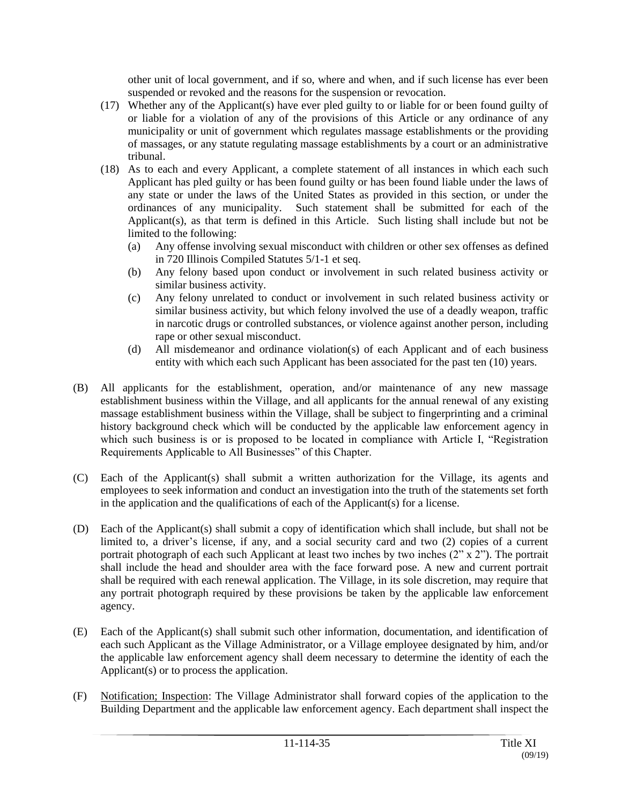other unit of local government, and if so, where and when, and if such license has ever been suspended or revoked and the reasons for the suspension or revocation.

- (17) Whether any of the Applicant(s) have ever pled guilty to or liable for or been found guilty of or liable for a violation of any of the provisions of this Article or any ordinance of any municipality or unit of government which regulates massage establishments or the providing of massages, or any statute regulating massage establishments by a court or an administrative tribunal.
- (18) As to each and every Applicant, a complete statement of all instances in which each such Applicant has pled guilty or has been found guilty or has been found liable under the laws of any state or under the laws of the United States as provided in this section, or under the ordinances of any municipality. Such statement shall be submitted for each of the Applicant(s), as that term is defined in this Article. Such listing shall include but not be limited to the following:
	- (a) Any offense involving sexual misconduct with children or other sex offenses as defined in 720 Illinois Compiled Statutes 5/1-1 et seq.
	- (b) Any felony based upon conduct or involvement in such related business activity or similar business activity.
	- (c) Any felony unrelated to conduct or involvement in such related business activity or similar business activity, but which felony involved the use of a deadly weapon, traffic in narcotic drugs or controlled substances, or violence against another person, including rape or other sexual misconduct.
	- (d) All misdemeanor and ordinance violation(s) of each Applicant and of each business entity with which each such Applicant has been associated for the past ten (10) years.
- (B) All applicants for the establishment, operation, and/or maintenance of any new massage establishment business within the Village, and all applicants for the annual renewal of any existing massage establishment business within the Village, shall be subject to fingerprinting and a criminal history background check which will be conducted by the applicable law enforcement agency in which such business is or is proposed to be located in compliance with Article I, "Registration Requirements Applicable to All Businesses" of this Chapter.
- (C) Each of the Applicant(s) shall submit a written authorization for the Village, its agents and employees to seek information and conduct an investigation into the truth of the statements set forth in the application and the qualifications of each of the Applicant(s) for a license.
- (D) Each of the Applicant(s) shall submit a copy of identification which shall include, but shall not be limited to, a driver's license, if any, and a social security card and two (2) copies of a current portrait photograph of each such Applicant at least two inches by two inches  $(2'' \times 2'')$ . The portrait shall include the head and shoulder area with the face forward pose. A new and current portrait shall be required with each renewal application. The Village, in its sole discretion, may require that any portrait photograph required by these provisions be taken by the applicable law enforcement agency.
- (E) Each of the Applicant(s) shall submit such other information, documentation, and identification of each such Applicant as the Village Administrator, or a Village employee designated by him, and/or the applicable law enforcement agency shall deem necessary to determine the identity of each the Applicant(s) or to process the application.
- (F) Notification; Inspection: The Village Administrator shall forward copies of the application to the Building Department and the applicable law enforcement agency. Each department shall inspect the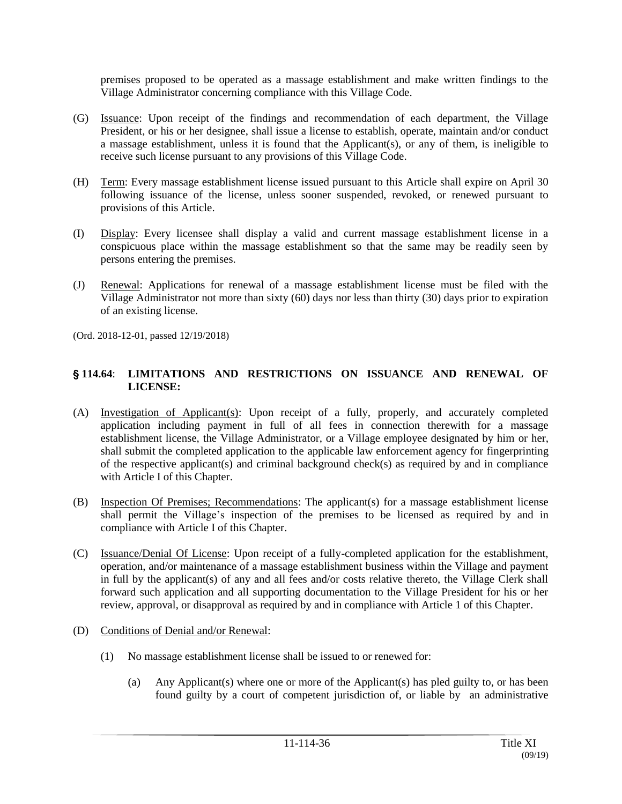premises proposed to be operated as a massage establishment and make written findings to the Village Administrator concerning compliance with this Village Code.

- (G) Issuance: Upon receipt of the findings and recommendation of each department, the Village President, or his or her designee, shall issue a license to establish, operate, maintain and/or conduct a massage establishment, unless it is found that the Applicant(s), or any of them, is ineligible to receive such license pursuant to any provisions of this Village Code.
- (H) Term: Every massage establishment license issued pursuant to this Article shall expire on April 30 following issuance of the license, unless sooner suspended, revoked, or renewed pursuant to provisions of this Article.
- (I) Display: Every licensee shall display a valid and current massage establishment license in a conspicuous place within the massage establishment so that the same may be readily seen by persons entering the premises.
- (J) Renewal: Applications for renewal of a massage establishment license must be filed with the Village Administrator not more than sixty (60) days nor less than thirty (30) days prior to expiration of an existing license.
- (Ord. 2018-12-01, passed 12/19/2018)

## ' **114.64**: **LIMITATIONS AND RESTRICTIONS ON ISSUANCE AND RENEWAL OF LICENSE:**

- (A) Investigation of Applicant(s): Upon receipt of a fully, properly, and accurately completed application including payment in full of all fees in connection therewith for a massage establishment license, the Village Administrator, or a Village employee designated by him or her, shall submit the completed application to the applicable law enforcement agency for fingerprinting of the respective applicant(s) and criminal background check(s) as required by and in compliance with Article I of this Chapter.
- (B) Inspection Of Premises; Recommendations: The applicant(s) for a massage establishment license shall permit the Village's inspection of the premises to be licensed as required by and in compliance with Article I of this Chapter.
- (C) Issuance/Denial Of License: Upon receipt of a fully-completed application for the establishment, operation, and/or maintenance of a massage establishment business within the Village and payment in full by the applicant(s) of any and all fees and/or costs relative thereto, the Village Clerk shall forward such application and all supporting documentation to the Village President for his or her review, approval, or disapproval as required by and in compliance with Article 1 of this Chapter.
- (D) Conditions of Denial and/or Renewal:
	- (1) No massage establishment license shall be issued to or renewed for:
		- (a) Any Applicant(s) where one or more of the Applicant(s) has pled guilty to, or has been found guilty by a court of competent jurisdiction of, or liable by an administrative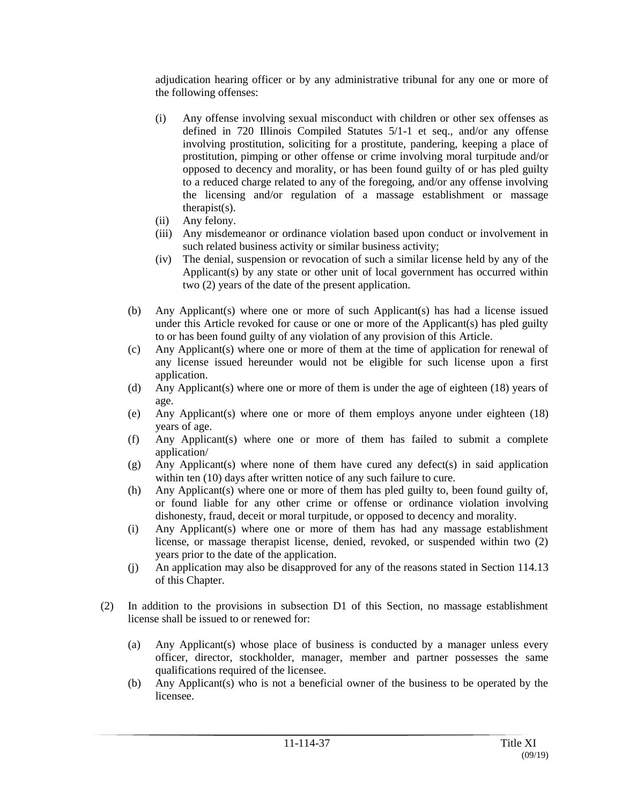adjudication hearing officer or by any administrative tribunal for any one or more of the following offenses:

- (i) Any offense involving sexual misconduct with children or other sex offenses as defined in 720 Illinois Compiled Statutes 5/1-1 et seq., and/or any offense involving prostitution, soliciting for a prostitute, pandering, keeping a place of prostitution, pimping or other offense or crime involving moral turpitude and/or opposed to decency and morality, or has been found guilty of or has pled guilty to a reduced charge related to any of the foregoing, and/or any offense involving the licensing and/or regulation of a massage establishment or massage therapist(s).
- (ii) Any felony.
- (iii) Any misdemeanor or ordinance violation based upon conduct or involvement in such related business activity or similar business activity;
- (iv) The denial, suspension or revocation of such a similar license held by any of the Applicant(s) by any state or other unit of local government has occurred within two (2) years of the date of the present application.
- (b) Any Applicant(s) where one or more of such Applicant(s) has had a license issued under this Article revoked for cause or one or more of the Applicant(s) has pled guilty to or has been found guilty of any violation of any provision of this Article.
- (c) Any Applicant(s) where one or more of them at the time of application for renewal of any license issued hereunder would not be eligible for such license upon a first application.
- (d) Any Applicant(s) where one or more of them is under the age of eighteen (18) years of age.
- (e) Any Applicant(s) where one or more of them employs anyone under eighteen (18) years of age.
- (f) Any Applicant(s) where one or more of them has failed to submit a complete application/
- $(g)$  Any Applicant(s) where none of them have cured any defect(s) in said application within ten (10) days after written notice of any such failure to cure.
- (h) Any Applicant(s) where one or more of them has pled guilty to, been found guilty of, or found liable for any other crime or offense or ordinance violation involving dishonesty, fraud, deceit or moral turpitude, or opposed to decency and morality.
- (i) Any Applicant(s) where one or more of them has had any massage establishment license, or massage therapist license, denied, revoked, or suspended within two (2) years prior to the date of the application.
- (j) An application may also be disapproved for any of the reasons stated in Section 114.13 of this Chapter.
- (2) In addition to the provisions in subsection D1 of this Section, no massage establishment license shall be issued to or renewed for:
	- (a) Any Applicant(s) whose place of business is conducted by a manager unless every officer, director, stockholder, manager, member and partner possesses the same qualifications required of the licensee.
	- (b) Any Applicant(s) who is not a beneficial owner of the business to be operated by the licensee.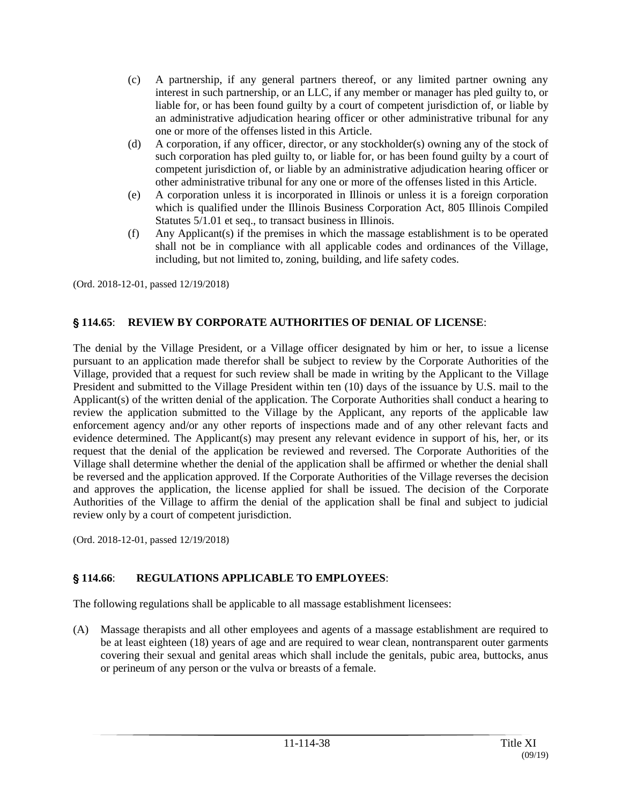- (c) A partnership, if any general partners thereof, or any limited partner owning any interest in such partnership, or an LLC, if any member or manager has pled guilty to, or liable for, or has been found guilty by a court of competent jurisdiction of, or liable by an administrative adjudication hearing officer or other administrative tribunal for any one or more of the offenses listed in this Article.
- (d) A corporation, if any officer, director, or any stockholder(s) owning any of the stock of such corporation has pled guilty to, or liable for, or has been found guilty by a court of competent jurisdiction of, or liable by an administrative adjudication hearing officer or other administrative tribunal for any one or more of the offenses listed in this Article.
- (e) A corporation unless it is incorporated in Illinois or unless it is a foreign corporation which is qualified under the Illinois Business Corporation Act, 805 Illinois Compiled Statutes 5/1.01 et seq., to transact business in Illinois.
- (f) Any Applicant(s) if the premises in which the massage establishment is to be operated shall not be in compliance with all applicable codes and ordinances of the Village, including, but not limited to, zoning, building, and life safety codes.

(Ord. 2018-12-01, passed 12/19/2018)

## ' **114.65**: **REVIEW BY CORPORATE AUTHORITIES OF DENIAL OF LICENSE**:

The denial by the Village President, or a Village officer designated by him or her, to issue a license pursuant to an application made therefor shall be subject to review by the Corporate Authorities of the Village, provided that a request for such review shall be made in writing by the Applicant to the Village President and submitted to the Village President within ten (10) days of the issuance by U.S. mail to the Applicant(s) of the written denial of the application. The Corporate Authorities shall conduct a hearing to review the application submitted to the Village by the Applicant, any reports of the applicable law enforcement agency and/or any other reports of inspections made and of any other relevant facts and evidence determined. The Applicant(s) may present any relevant evidence in support of his, her, or its request that the denial of the application be reviewed and reversed. The Corporate Authorities of the Village shall determine whether the denial of the application shall be affirmed or whether the denial shall be reversed and the application approved. If the Corporate Authorities of the Village reverses the decision and approves the application, the license applied for shall be issued. The decision of the Corporate Authorities of the Village to affirm the denial of the application shall be final and subject to judicial review only by a court of competent jurisdiction.

(Ord. 2018-12-01, passed 12/19/2018)

## ' **114.66**: **REGULATIONS APPLICABLE TO EMPLOYEES**:

The following regulations shall be applicable to all massage establishment licensees:

(A) Massage therapists and all other employees and agents of a massage establishment are required to be at least eighteen (18) years of age and are required to wear clean, nontransparent outer garments covering their sexual and genital areas which shall include the genitals, pubic area, buttocks, anus or perineum of any person or the vulva or breasts of a female.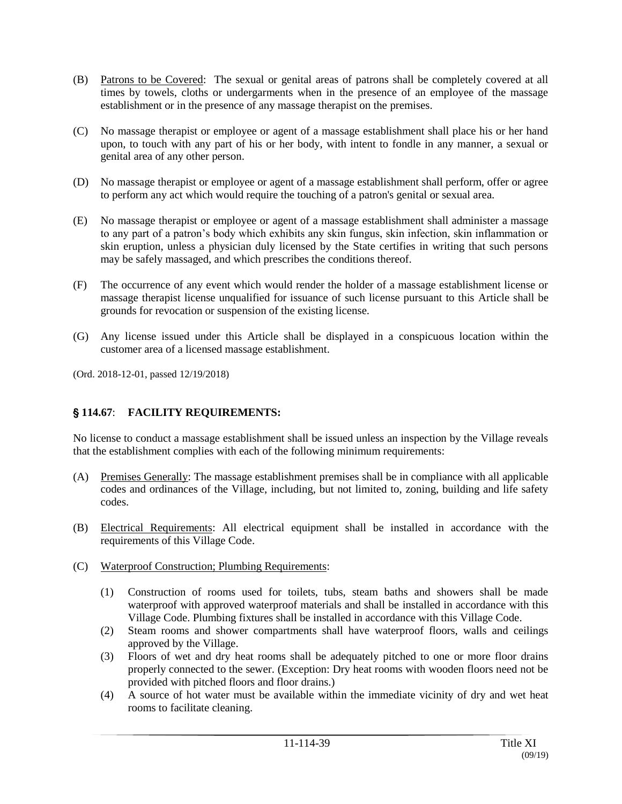- (B) Patrons to be Covered: The sexual or genital areas of patrons shall be completely covered at all times by towels, cloths or undergarments when in the presence of an employee of the massage establishment or in the presence of any massage therapist on the premises.
- (C) No massage therapist or employee or agent of a massage establishment shall place his or her hand upon, to touch with any part of his or her body, with intent to fondle in any manner, a sexual or genital area of any other person.
- (D) No massage therapist or employee or agent of a massage establishment shall perform, offer or agree to perform any act which would require the touching of a patron's genital or sexual area.
- (E) No massage therapist or employee or agent of a massage establishment shall administer a massage to any part of a patron's body which exhibits any skin fungus, skin infection, skin inflammation or skin eruption, unless a physician duly licensed by the State certifies in writing that such persons may be safely massaged, and which prescribes the conditions thereof.
- (F) The occurrence of any event which would render the holder of a massage establishment license or massage therapist license unqualified for issuance of such license pursuant to this Article shall be grounds for revocation or suspension of the existing license.
- (G) Any license issued under this Article shall be displayed in a conspicuous location within the customer area of a licensed massage establishment.

(Ord. 2018-12-01, passed 12/19/2018)

## ' **114.67**: **FACILITY REQUIREMENTS:**

No license to conduct a massage establishment shall be issued unless an inspection by the Village reveals that the establishment complies with each of the following minimum requirements:

- (A) Premises Generally: The massage establishment premises shall be in compliance with all applicable codes and ordinances of the Village, including, but not limited to, zoning, building and life safety codes.
- (B) Electrical Requirements: All electrical equipment shall be installed in accordance with the requirements of this Village Code.
- (C) Waterproof Construction; Plumbing Requirements:
	- (1) Construction of rooms used for toilets, tubs, steam baths and showers shall be made waterproof with approved waterproof materials and shall be installed in accordance with this Village Code. Plumbing fixtures shall be installed in accordance with this Village Code.
	- (2) Steam rooms and shower compartments shall have waterproof floors, walls and ceilings approved by the Village.
	- (3) Floors of wet and dry heat rooms shall be adequately pitched to one or more floor drains properly connected to the sewer. (Exception: Dry heat rooms with wooden floors need not be provided with pitched floors and floor drains.)
	- (4) A source of hot water must be available within the immediate vicinity of dry and wet heat rooms to facilitate cleaning.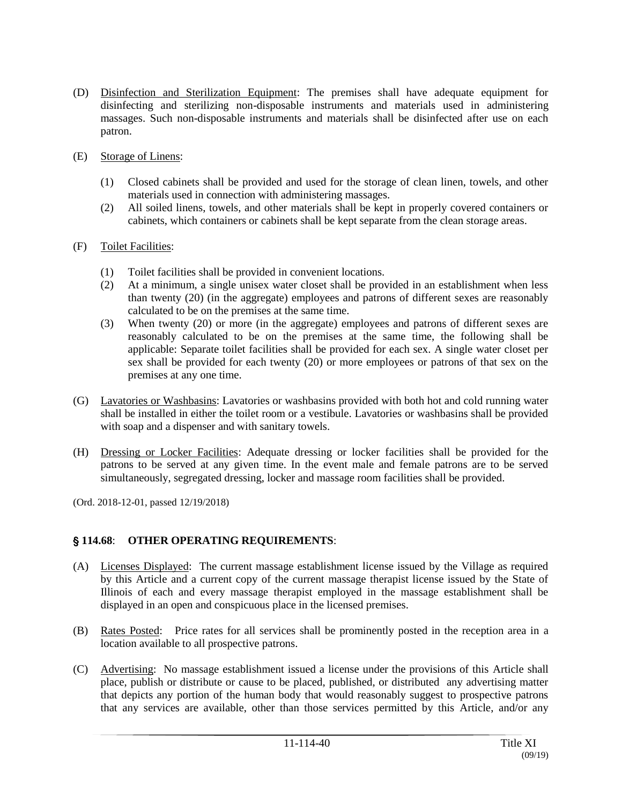- (D) Disinfection and Sterilization Equipment: The premises shall have adequate equipment for disinfecting and sterilizing non-disposable instruments and materials used in administering massages. Such non-disposable instruments and materials shall be disinfected after use on each patron.
- (E) Storage of Linens:
	- (1) Closed cabinets shall be provided and used for the storage of clean linen, towels, and other materials used in connection with administering massages.
	- (2) All soiled linens, towels, and other materials shall be kept in properly covered containers or cabinets, which containers or cabinets shall be kept separate from the clean storage areas.

## (F) Toilet Facilities:

- (1) Toilet facilities shall be provided in convenient locations.
- (2) At a minimum, a single unisex water closet shall be provided in an establishment when less than twenty (20) (in the aggregate) employees and patrons of different sexes are reasonably calculated to be on the premises at the same time.
- (3) When twenty (20) or more (in the aggregate) employees and patrons of different sexes are reasonably calculated to be on the premises at the same time, the following shall be applicable: Separate toilet facilities shall be provided for each sex. A single water closet per sex shall be provided for each twenty (20) or more employees or patrons of that sex on the premises at any one time.
- (G) Lavatories or Washbasins: Lavatories or washbasins provided with both hot and cold running water shall be installed in either the toilet room or a vestibule. Lavatories or washbasins shall be provided with soap and a dispenser and with sanitary towels.
- (H) Dressing or Locker Facilities: Adequate dressing or locker facilities shall be provided for the patrons to be served at any given time. In the event male and female patrons are to be served simultaneously, segregated dressing, locker and massage room facilities shall be provided.

(Ord. 2018-12-01, passed 12/19/2018)

## ' **114.68**: **OTHER OPERATING REQUIREMENTS**:

- (A) Licenses Displayed: The current massage establishment license issued by the Village as required by this Article and a current copy of the current massage therapist license issued by the State of Illinois of each and every massage therapist employed in the massage establishment shall be displayed in an open and conspicuous place in the licensed premises.
- (B) Rates Posted: Price rates for all services shall be prominently posted in the reception area in a location available to all prospective patrons.
- (C) Advertising: No massage establishment issued a license under the provisions of this Article shall place, publish or distribute or cause to be placed, published, or distributed any advertising matter that depicts any portion of the human body that would reasonably suggest to prospective patrons that any services are available, other than those services permitted by this Article, and/or any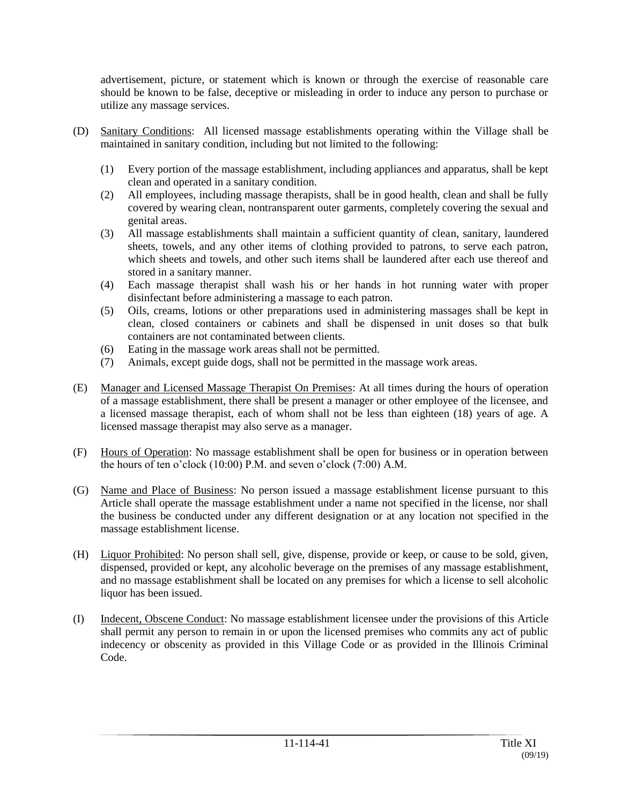advertisement, picture, or statement which is known or through the exercise of reasonable care should be known to be false, deceptive or misleading in order to induce any person to purchase or utilize any massage services.

- (D) Sanitary Conditions: All licensed massage establishments operating within the Village shall be maintained in sanitary condition, including but not limited to the following:
	- (1) Every portion of the massage establishment, including appliances and apparatus, shall be kept clean and operated in a sanitary condition.
	- (2) All employees, including massage therapists, shall be in good health, clean and shall be fully covered by wearing clean, nontransparent outer garments, completely covering the sexual and genital areas.
	- (3) All massage establishments shall maintain a sufficient quantity of clean, sanitary, laundered sheets, towels, and any other items of clothing provided to patrons, to serve each patron, which sheets and towels, and other such items shall be laundered after each use thereof and stored in a sanitary manner.
	- (4) Each massage therapist shall wash his or her hands in hot running water with proper disinfectant before administering a massage to each patron.
	- (5) Oils, creams, lotions or other preparations used in administering massages shall be kept in clean, closed containers or cabinets and shall be dispensed in unit doses so that bulk containers are not contaminated between clients.
	- (6) Eating in the massage work areas shall not be permitted.
	- (7) Animals, except guide dogs, shall not be permitted in the massage work areas.
- (E) Manager and Licensed Massage Therapist On Premises: At all times during the hours of operation of a massage establishment, there shall be present a manager or other employee of the licensee, and a licensed massage therapist, each of whom shall not be less than eighteen (18) years of age. A licensed massage therapist may also serve as a manager.
- (F) Hours of Operation: No massage establishment shall be open for business or in operation between the hours of ten o'clock (10:00) P.M. and seven o'clock (7:00) A.M.
- (G) Name and Place of Business: No person issued a massage establishment license pursuant to this Article shall operate the massage establishment under a name not specified in the license, nor shall the business be conducted under any different designation or at any location not specified in the massage establishment license.
- (H) Liquor Prohibited: No person shall sell, give, dispense, provide or keep, or cause to be sold, given, dispensed, provided or kept, any alcoholic beverage on the premises of any massage establishment, and no massage establishment shall be located on any premises for which a license to sell alcoholic liquor has been issued.
- (I) Indecent, Obscene Conduct: No massage establishment licensee under the provisions of this Article shall permit any person to remain in or upon the licensed premises who commits any act of public indecency or obscenity as provided in this Village Code or as provided in the Illinois Criminal Code.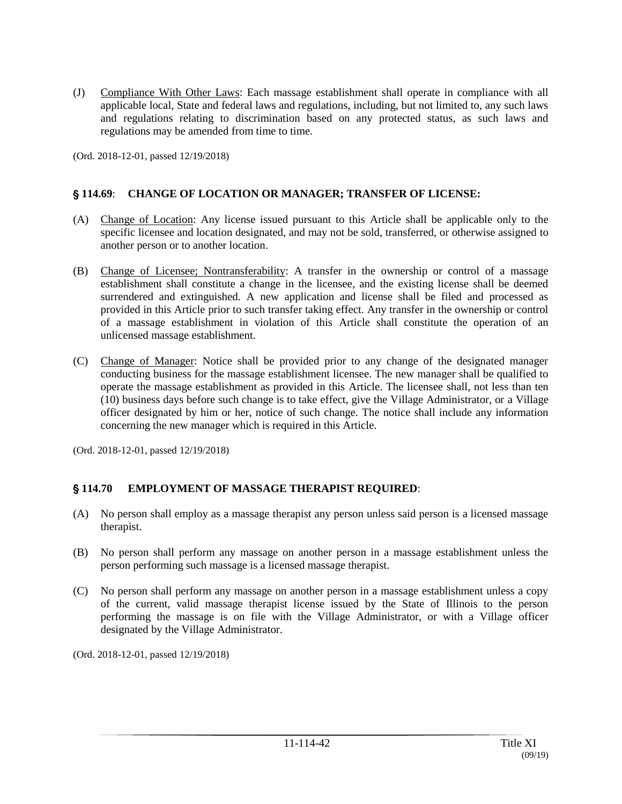(J) Compliance With Other Laws: Each massage establishment shall operate in compliance with all applicable local, State and federal laws and regulations, including, but not limited to, any such laws and regulations relating to discrimination based on any protected status, as such laws and regulations may be amended from time to time.

(Ord. 2018-12-01, passed 12/19/2018)

### ' **114.69**: **CHANGE OF LOCATION OR MANAGER; TRANSFER OF LICENSE:**

- (A) Change of Location: Any license issued pursuant to this Article shall be applicable only to the specific licensee and location designated, and may not be sold, transferred, or otherwise assigned to another person or to another location.
- (B) Change of Licensee; Nontransferability: A transfer in the ownership or control of a massage establishment shall constitute a change in the licensee, and the existing license shall be deemed surrendered and extinguished. A new application and license shall be filed and processed as provided in this Article prior to such transfer taking effect. Any transfer in the ownership or control of a massage establishment in violation of this Article shall constitute the operation of an unlicensed massage establishment.
- (C) Change of Manager: Notice shall be provided prior to any change of the designated manager conducting business for the massage establishment licensee. The new manager shall be qualified to operate the massage establishment as provided in this Article. The licensee shall, not less than ten (10) business days before such change is to take effect, give the Village Administrator, or a Village officer designated by him or her, notice of such change. The notice shall include any information concerning the new manager which is required in this Article.

(Ord. 2018-12-01, passed 12/19/2018)

## ' **114.70 EMPLOYMENT OF MASSAGE THERAPIST REQUIRED**:

- (A) No person shall employ as a massage therapist any person unless said person is a licensed massage therapist.
- (B) No person shall perform any massage on another person in a massage establishment unless the person performing such massage is a licensed massage therapist.
- (C) No person shall perform any massage on another person in a massage establishment unless a copy of the current, valid massage therapist license issued by the State of Illinois to the person performing the massage is on file with the Village Administrator, or with a Village officer designated by the Village Administrator.

(Ord. 2018-12-01, passed 12/19/2018)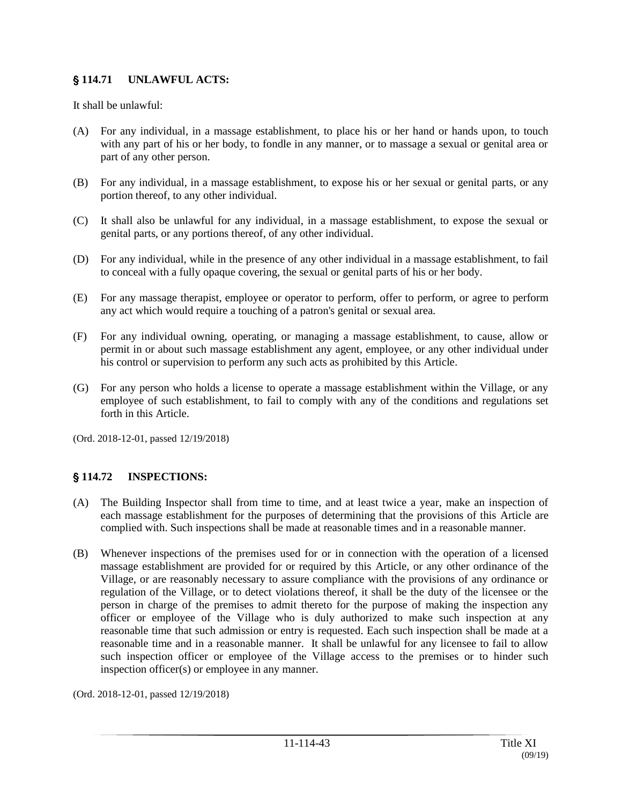# ' **114.71 UNLAWFUL ACTS:**

It shall be unlawful:

- (A) For any individual, in a massage establishment, to place his or her hand or hands upon, to touch with any part of his or her body, to fondle in any manner, or to massage a sexual or genital area or part of any other person.
- (B) For any individual, in a massage establishment, to expose his or her sexual or genital parts, or any portion thereof, to any other individual.
- (C) It shall also be unlawful for any individual, in a massage establishment, to expose the sexual or genital parts, or any portions thereof, of any other individual.
- (D) For any individual, while in the presence of any other individual in a massage establishment, to fail to conceal with a fully opaque covering, the sexual or genital parts of his or her body.
- (E) For any massage therapist, employee or operator to perform, offer to perform, or agree to perform any act which would require a touching of a patron's genital or sexual area.
- (F) For any individual owning, operating, or managing a massage establishment, to cause, allow or permit in or about such massage establishment any agent, employee, or any other individual under his control or supervision to perform any such acts as prohibited by this Article.
- (G) For any person who holds a license to operate a massage establishment within the Village, or any employee of such establishment, to fail to comply with any of the conditions and regulations set forth in this Article.

(Ord. 2018-12-01, passed 12/19/2018)

## ' **114.72 INSPECTIONS:**

- (A) The Building Inspector shall from time to time, and at least twice a year, make an inspection of each massage establishment for the purposes of determining that the provisions of this Article are complied with. Such inspections shall be made at reasonable times and in a reasonable manner.
- (B) Whenever inspections of the premises used for or in connection with the operation of a licensed massage establishment are provided for or required by this Article, or any other ordinance of the Village, or are reasonably necessary to assure compliance with the provisions of any ordinance or regulation of the Village, or to detect violations thereof, it shall be the duty of the licensee or the person in charge of the premises to admit thereto for the purpose of making the inspection any officer or employee of the Village who is duly authorized to make such inspection at any reasonable time that such admission or entry is requested. Each such inspection shall be made at a reasonable time and in a reasonable manner. It shall be unlawful for any licensee to fail to allow such inspection officer or employee of the Village access to the premises or to hinder such inspection officer(s) or employee in any manner.

(Ord. 2018-12-01, passed 12/19/2018)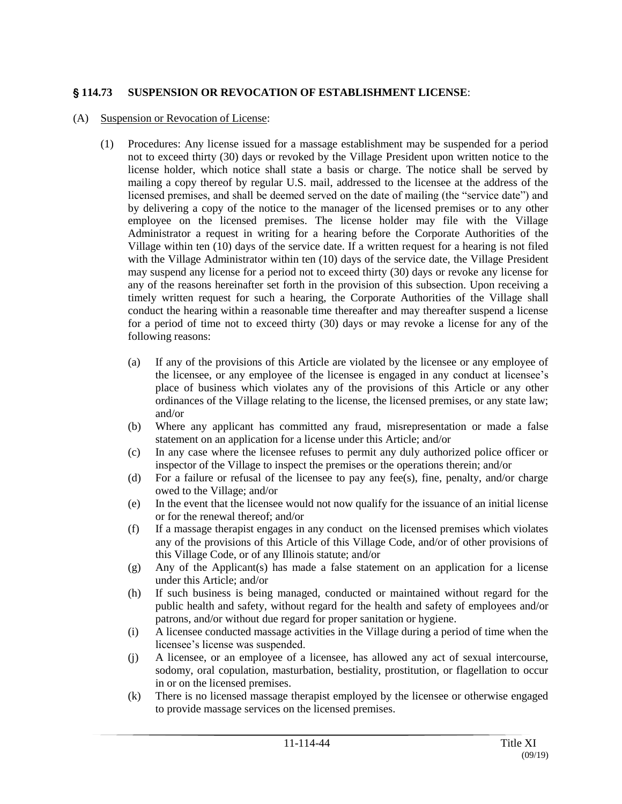# ' **114.73 SUSPENSION OR REVOCATION OF ESTABLISHMENT LICENSE**:

### (A) Suspension or Revocation of License:

- (1) Procedures: Any license issued for a massage establishment may be suspended for a period not to exceed thirty (30) days or revoked by the Village President upon written notice to the license holder, which notice shall state a basis or charge. The notice shall be served by mailing a copy thereof by regular U.S. mail, addressed to the licensee at the address of the licensed premises, and shall be deemed served on the date of mailing (the "service date") and by delivering a copy of the notice to the manager of the licensed premises or to any other employee on the licensed premises. The license holder may file with the Village Administrator a request in writing for a hearing before the Corporate Authorities of the Village within ten (10) days of the service date. If a written request for a hearing is not filed with the Village Administrator within ten (10) days of the service date, the Village President may suspend any license for a period not to exceed thirty (30) days or revoke any license for any of the reasons hereinafter set forth in the provision of this subsection. Upon receiving a timely written request for such a hearing, the Corporate Authorities of the Village shall conduct the hearing within a reasonable time thereafter and may thereafter suspend a license for a period of time not to exceed thirty (30) days or may revoke a license for any of the following reasons:
	- (a) If any of the provisions of this Article are violated by the licensee or any employee of the licensee, or any employee of the licensee is engaged in any conduct at licensee's place of business which violates any of the provisions of this Article or any other ordinances of the Village relating to the license, the licensed premises, or any state law; and/or
	- (b) Where any applicant has committed any fraud, misrepresentation or made a false statement on an application for a license under this Article; and/or
	- (c) In any case where the licensee refuses to permit any duly authorized police officer or inspector of the Village to inspect the premises or the operations therein; and/or
	- (d) For a failure or refusal of the licensee to pay any fee(s), fine, penalty, and/or charge owed to the Village; and/or
	- (e) In the event that the licensee would not now qualify for the issuance of an initial license or for the renewal thereof; and/or
	- (f) If a massage therapist engages in any conduct on the licensed premises which violates any of the provisions of this Article of this Village Code, and/or of other provisions of this Village Code, or of any Illinois statute; and/or
	- $(g)$  Any of the Applicant(s) has made a false statement on an application for a license under this Article; and/or
	- (h) If such business is being managed, conducted or maintained without regard for the public health and safety, without regard for the health and safety of employees and/or patrons, and/or without due regard for proper sanitation or hygiene.
	- (i) A licensee conducted massage activities in the Village during a period of time when the licensee's license was suspended.
	- (j) A licensee, or an employee of a licensee, has allowed any act of sexual intercourse, sodomy, oral copulation, masturbation, bestiality, prostitution, or flagellation to occur in or on the licensed premises.
	- (k) There is no licensed massage therapist employed by the licensee or otherwise engaged to provide massage services on the licensed premises.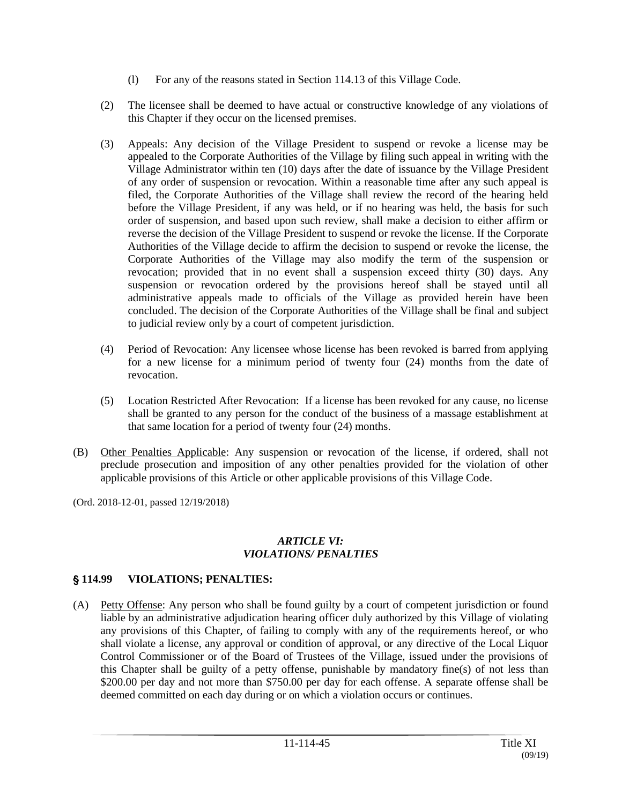- (l) For any of the reasons stated in Section 114.13 of this Village Code.
- (2) The licensee shall be deemed to have actual or constructive knowledge of any violations of this Chapter if they occur on the licensed premises.
- (3) Appeals: Any decision of the Village President to suspend or revoke a license may be appealed to the Corporate Authorities of the Village by filing such appeal in writing with the Village Administrator within ten (10) days after the date of issuance by the Village President of any order of suspension or revocation. Within a reasonable time after any such appeal is filed, the Corporate Authorities of the Village shall review the record of the hearing held before the Village President, if any was held, or if no hearing was held, the basis for such order of suspension, and based upon such review, shall make a decision to either affirm or reverse the decision of the Village President to suspend or revoke the license. If the Corporate Authorities of the Village decide to affirm the decision to suspend or revoke the license, the Corporate Authorities of the Village may also modify the term of the suspension or revocation; provided that in no event shall a suspension exceed thirty (30) days. Any suspension or revocation ordered by the provisions hereof shall be stayed until all administrative appeals made to officials of the Village as provided herein have been concluded. The decision of the Corporate Authorities of the Village shall be final and subject to judicial review only by a court of competent jurisdiction.
- (4) Period of Revocation: Any licensee whose license has been revoked is barred from applying for a new license for a minimum period of twenty four (24) months from the date of revocation.
- (5) Location Restricted After Revocation: If a license has been revoked for any cause, no license shall be granted to any person for the conduct of the business of a massage establishment at that same location for a period of twenty four (24) months.
- (B) Other Penalties Applicable: Any suspension or revocation of the license, if ordered, shall not preclude prosecution and imposition of any other penalties provided for the violation of other applicable provisions of this Article or other applicable provisions of this Village Code.

(Ord. 2018-12-01, passed 12/19/2018)

### *ARTICLE VI: VIOLATIONS/ PENALTIES*

## ' **114.99 VIOLATIONS; PENALTIES:**

(A) Petty Offense: Any person who shall be found guilty by a court of competent jurisdiction or found liable by an administrative adjudication hearing officer duly authorized by this Village of violating any provisions of this Chapter, of failing to comply with any of the requirements hereof, or who shall violate a license, any approval or condition of approval, or any directive of the Local Liquor Control Commissioner or of the Board of Trustees of the Village, issued under the provisions of this Chapter shall be guilty of a petty offense, punishable by mandatory fine(s) of not less than \$200.00 per day and not more than \$750.00 per day for each offense. A separate offense shall be deemed committed on each day during or on which a violation occurs or continues.